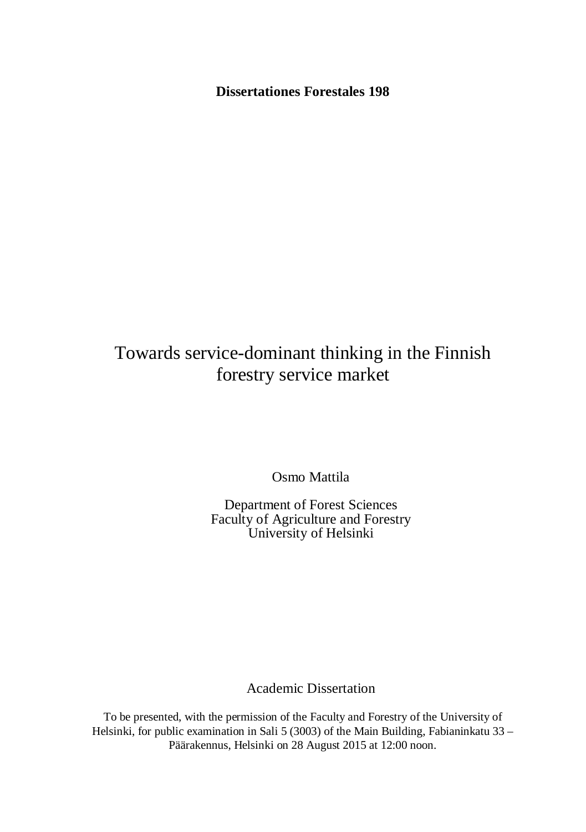**Dissertationes Forestales 198**

# Towards service-dominant thinking in the Finnish forestry service market

Osmo Mattila

Department of Forest Sciences Faculty of Agriculture and Forestry University of Helsinki

Academic Dissertation

To be presented, with the permission of the Faculty and Forestry of the University of Helsinki, for public examination in Sali 5 (3003) of the Main Building, Fabianinkatu 33 – Päärakennus, Helsinki on 28 August 2015 at 12:00 noon.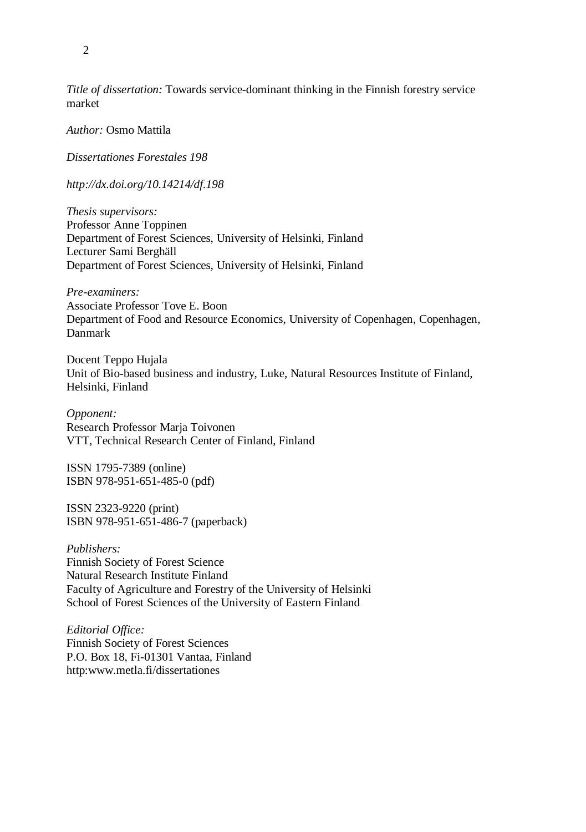*Title of dissertation:* Towards service-dominant thinking in the Finnish forestry service market

*Author:* Osmo Mattila

*Dissertationes Forestales 198*

*http://dx.doi.org/10.14214/df.198*

*Thesis supervisors:* Professor Anne Toppinen Department of Forest Sciences, University of Helsinki, Finland Lecturer Sami Berghäll Department of Forest Sciences, University of Helsinki, Finland

*Pre-examiners:* Associate Professor Tove E. Boon Department of Food and Resource Economics, University of Copenhagen, Copenhagen, Danmark

Docent Teppo Hujala Unit of Bio-based business and industry, Luke, Natural Resources Institute of Finland, Helsinki, Finland

*Opponent:* Research Professor Marja Toivonen VTT, Technical Research Center of Finland, Finland

ISSN 1795-7389 (online) ISBN 978-951-651-485-0 (pdf)

ISSN 2323-9220 (print) ISBN 978-951-651-486-7 (paperback)

*Publishers:* Finnish Society of Forest Science Natural Research Institute Finland Faculty of Agriculture and Forestry of the University of Helsinki School of Forest Sciences of the University of Eastern Finland

*Editorial Office:* Finnish Society of Forest Sciences P.O. Box 18, Fi-01301 Vantaa, Finland http:www.metla.fi/dissertationes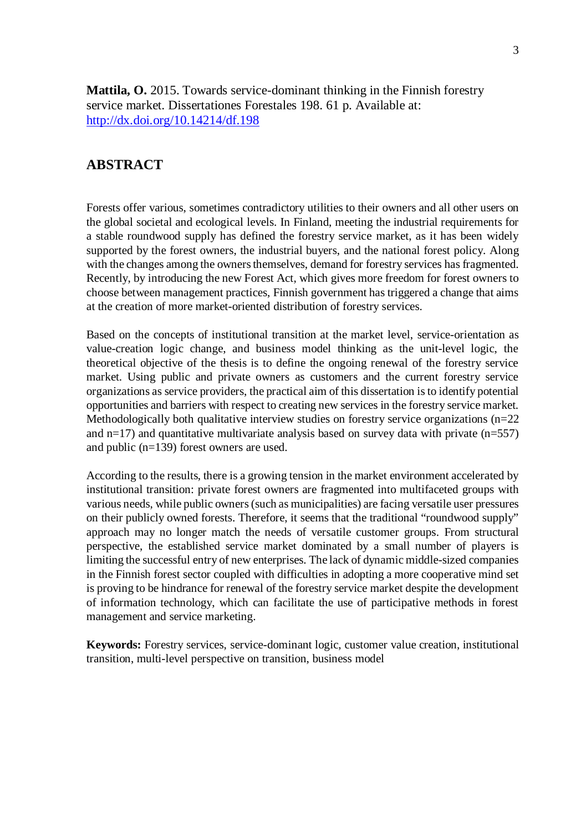**Mattila, O.** 2015. Towards service-dominant thinking in the Finnish forestry service market. Dissertationes Forestales 198. 61 p. Available at: http://dx.doi.org/10.14214/df.198

### **ABSTRACT**

Forests offer various, sometimes contradictory utilities to their owners and all other users on the global societal and ecological levels. In Finland, meeting the industrial requirements for a stable roundwood supply has defined the forestry service market, as it has been widely supported by the forest owners, the industrial buyers, and the national forest policy. Along with the changes among the owners themselves, demand for forestry services has fragmented. Recently, by introducing the new Forest Act, which gives more freedom for forest owners to choose between management practices, Finnish government has triggered a change that aims at the creation of more market-oriented distribution of forestry services.

Based on the concepts of institutional transition at the market level, service-orientation as value-creation logic change, and business model thinking as the unit-level logic, the theoretical objective of the thesis is to define the ongoing renewal of the forestry service market. Using public and private owners as customers and the current forestry service organizations as service providers, the practical aim of this dissertation is to identify potential opportunities and barriers with respect to creating new services in the forestry service market. Methodologically both qualitative interview studies on forestry service organizations (n=22 and  $n=17$ ) and quantitative multivariate analysis based on survey data with private ( $n=557$ ) and public (n=139) forest owners are used.

According to the results, there is a growing tension in the market environment accelerated by institutional transition: private forest owners are fragmented into multifaceted groups with various needs, while public owners (such as municipalities) are facing versatile user pressures on their publicly owned forests. Therefore, it seems that the traditional "roundwood supply" approach may no longer match the needs of versatile customer groups. From structural perspective, the established service market dominated by a small number of players is limiting the successful entry of new enterprises. The lack of dynamic middle-sized companies in the Finnish forest sector coupled with difficulties in adopting a more cooperative mind set is proving to be hindrance for renewal of the forestry service market despite the development of information technology, which can facilitate the use of participative methods in forest management and service marketing.

**Keywords:** Forestry services, service-dominant logic, customer value creation, institutional transition, multi-level perspective on transition, business model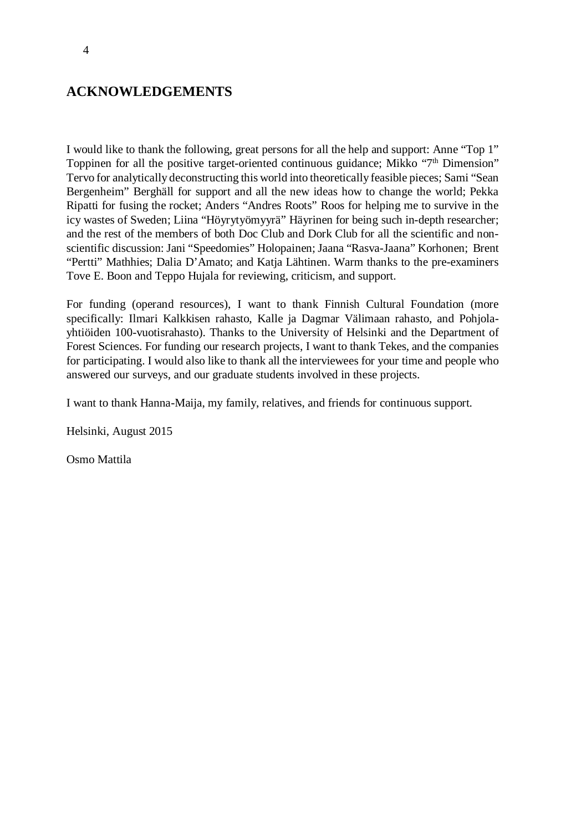## **ACKNOWLEDGEMENTS**

I would like to thank the following, great persons for all the help and support: Anne "Top 1" Toppinen for all the positive target-oriented continuous guidance; Mikko "7<sup>th</sup> Dimension" Tervo for analytically deconstructing this world into theoretically feasible pieces; Sami "Sean Bergenheim" Berghäll for support and all the new ideas how to change the world; Pekka Ripatti for fusing the rocket; Anders "Andres Roots" Roos for helping me to survive in the icy wastes of Sweden; Liina "Höyrytyömyyrä" Häyrinen for being such in-depth researcher; and the rest of the members of both Doc Club and Dork Club for all the scientific and nonscientific discussion: Jani "Speedomies" Holopainen; Jaana "Rasva-Jaana" Korhonen; Brent "Pertti" Mathhies; Dalia D'Amato; and Katja Lähtinen. Warm thanks to the pre-examiners Tove E. Boon and Teppo Hujala for reviewing, criticism, and support.

For funding (operand resources), I want to thank Finnish Cultural Foundation (more specifically: Ilmari Kalkkisen rahasto, Kalle ja Dagmar Välimaan rahasto, and Pohjolayhtiöiden 100-vuotisrahasto). Thanks to the University of Helsinki and the Department of Forest Sciences. For funding our research projects, I want to thank Tekes, and the companies for participating. I would also like to thank all the interviewees for your time and people who answered our surveys, and our graduate students involved in these projects.

I want to thank Hanna-Maija, my family, relatives, and friends for continuous support.

Helsinki, August 2015

Osmo Mattila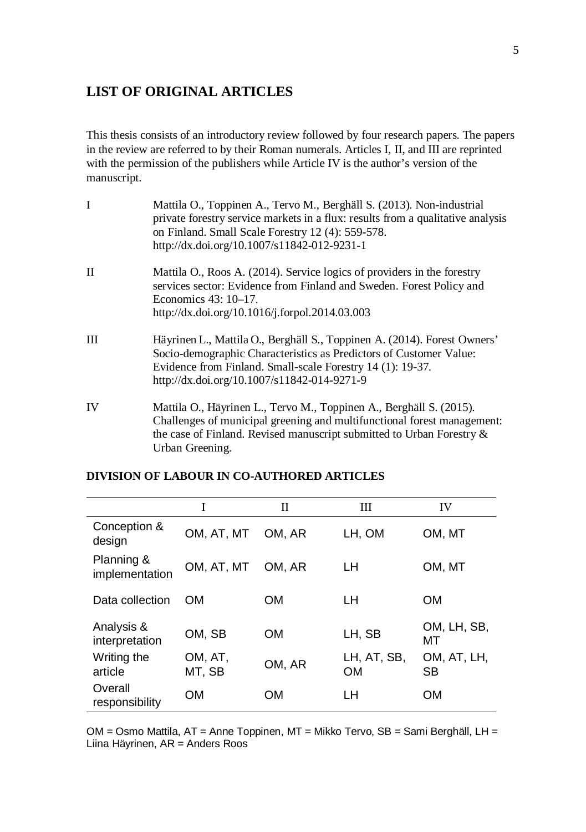## **LIST OF ORIGINAL ARTICLES**

This thesis consists of an introductory review followed by four research papers. The papers in the review are referred to by their Roman numerals. Articles I, II, and III are reprinted with the permission of the publishers while Article IV is the author's version of the manuscript.

| I            | Mattila O., Toppinen A., Tervo M., Berghäll S. (2013). Non-industrial<br>private forestry service markets in a flux: results from a qualitative analysis<br>on Finland. Small Scale Forestry 12 (4): 559-578.<br>http://dx.doi.org/10.1007/s11842-012-9231-1 |
|--------------|--------------------------------------------------------------------------------------------------------------------------------------------------------------------------------------------------------------------------------------------------------------|
| $\mathbf{I}$ | Mattila O., Roos A. (2014). Service logics of providers in the forestry<br>services sector: Evidence from Finland and Sweden. Forest Policy and<br>Economics $43:10-17$ .<br>http://dx.doi.org/10.1016/j.forpol.2014.03.003                                  |
| III          | Häyrinen L., Mattila O., Berghäll S., Toppinen A. (2014). Forest Owners'<br>Socio-demographic Characteristics as Predictors of Customer Value:<br>Evidence from Finland. Small-scale Forestry 14 (1): 19-37.<br>http://dx.doi.org/10.1007/s11842-014-9271-9  |
| IV           | Mattila O., Häyrinen L., Tervo M., Toppinen A., Berghäll S. (2015).<br>Challenges of municipal greening and multifunctional forest management:<br>the case of Finland. Revised manuscript submitted to Urban Forestry &<br>Urban Greening.                   |

|                              | I                 | П         | Ш                        | IV                       |
|------------------------------|-------------------|-----------|--------------------------|--------------------------|
| Conception &<br>design       | OM, AT, MT        | OM, AR    | LH, OM                   | OM, MT                   |
| Planning &<br>implementation | OM, AT, MT        | OM, AR    | LН                       | OM, MT                   |
| Data collection              | <b>OM</b>         | <b>OM</b> | LН                       | <b>OM</b>                |
| Analysis &<br>interpretation | OM, SB            | <b>OM</b> | LH, SB                   | OM, LH, SB,<br>МT        |
| Writing the<br>article       | OM, AT,<br>MT, SB | OM, AR    | LH, AT, SB,<br><b>OM</b> | OM, AT, LH,<br><b>SB</b> |
| Overall<br>responsibility    | OМ                | OМ        | LН                       | OМ                       |

### **DIVISION OF LABOUR IN CO-AUTHORED ARTICLES**

OM = Osmo Mattila, AT = Anne Toppinen, MT = Mikko Tervo, SB = Sami Berghäll, LH = Liina Häyrinen, AR = Anders Roos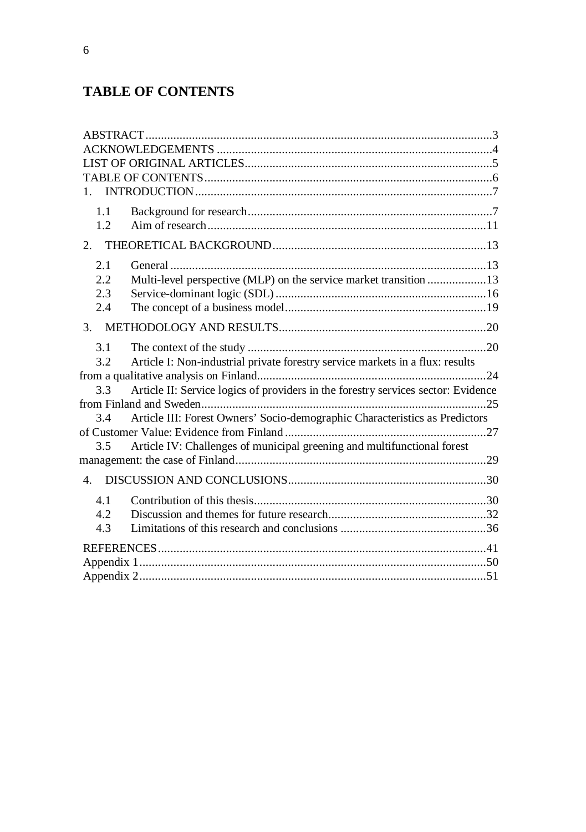# **TABLE OF CONTENTS**

| 1.                                                                                       |  |
|------------------------------------------------------------------------------------------|--|
| 1.1                                                                                      |  |
| 1.2                                                                                      |  |
| 2.                                                                                       |  |
| 2.1                                                                                      |  |
| 2.2<br>Multi-level perspective (MLP) on the service market transition 13                 |  |
| 2.3                                                                                      |  |
| 2.4                                                                                      |  |
| 3.                                                                                       |  |
| 3.1                                                                                      |  |
| Article I: Non-industrial private forestry service markets in a flux: results<br>3.2     |  |
|                                                                                          |  |
| Article II: Service logics of providers in the forestry services sector: Evidence<br>3.3 |  |
|                                                                                          |  |
| Article III: Forest Owners' Socio-demographic Characteristics as Predictors<br>3.4       |  |
|                                                                                          |  |
| Article IV: Challenges of municipal greening and multifunctional forest<br>3.5           |  |
|                                                                                          |  |
|                                                                                          |  |
| 4.1                                                                                      |  |
| 4.2                                                                                      |  |
| 4.3                                                                                      |  |
|                                                                                          |  |
|                                                                                          |  |
|                                                                                          |  |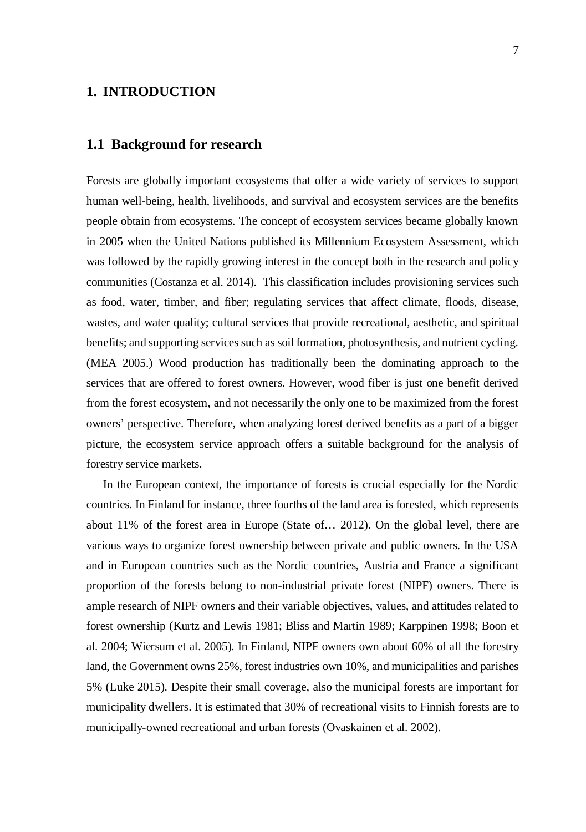### **1. INTRODUCTION**

#### **1.1 Background for research**

Forests are globally important ecosystems that offer a wide variety of services to support human well-being, health, livelihoods, and survival and ecosystem services are the benefits people obtain from ecosystems. The concept of ecosystem services became globally known in 2005 when the United Nations published its Millennium Ecosystem Assessment, which was followed by the rapidly growing interest in the concept both in the research and policy communities (Costanza et al. 2014). This classification includes provisioning services such as food, water, timber, and fiber; regulating services that affect climate, floods, disease, wastes, and water quality; cultural services that provide recreational, aesthetic, and spiritual benefits; and supporting services such as soil formation, photosynthesis, and nutrient cycling. (MEA 2005.) Wood production has traditionally been the dominating approach to the services that are offered to forest owners. However, wood fiber is just one benefit derived from the forest ecosystem, and not necessarily the only one to be maximized from the forest owners' perspective. Therefore, when analyzing forest derived benefits as a part of a bigger picture, the ecosystem service approach offers a suitable background for the analysis of forestry service markets.

In the European context, the importance of forests is crucial especially for the Nordic countries. In Finland for instance, three fourths of the land area is forested, which represents about 11% of the forest area in Europe (State of… 2012). On the global level, there are various ways to organize forest ownership between private and public owners. In the USA and in European countries such as the Nordic countries, Austria and France a significant proportion of the forests belong to non-industrial private forest (NIPF) owners. There is ample research of NIPF owners and their variable objectives, values, and attitudes related to forest ownership (Kurtz and Lewis 1981; Bliss and Martin 1989; Karppinen 1998; Boon et al. 2004; Wiersum et al. 2005). In Finland, NIPF owners own about 60% of all the forestry land, the Government owns 25%, forest industries own 10%, and municipalities and parishes 5% (Luke 2015). Despite their small coverage, also the municipal forests are important for municipality dwellers. It is estimated that 30% of recreational visits to Finnish forests are to municipally-owned recreational and urban forests (Ovaskainen et al. 2002).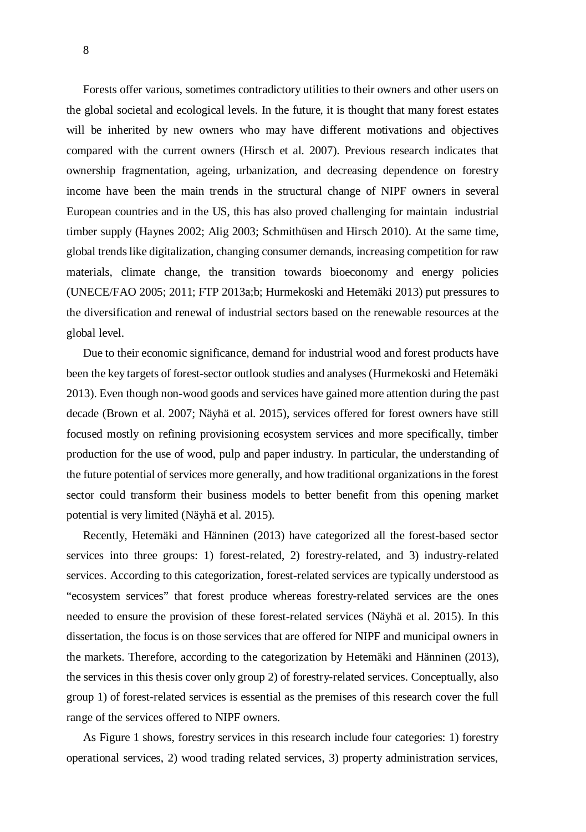Forests offer various, sometimes contradictory utilities to their owners and other users on the global societal and ecological levels. In the future, it is thought that many forest estates will be inherited by new owners who may have different motivations and objectives compared with the current owners (Hirsch et al. 2007). Previous research indicates that ownership fragmentation, ageing, urbanization, and decreasing dependence on forestry income have been the main trends in the structural change of NIPF owners in several European countries and in the US, this has also proved challenging for maintain industrial timber supply (Haynes 2002; Alig 2003; Schmithüsen and Hirsch 2010). At the same time, global trends like digitalization, changing consumer demands, increasing competition for raw materials, climate change, the transition towards bioeconomy and energy policies (UNECE/FAO 2005; 2011; FTP 2013a;b; Hurmekoski and Hetemäki 2013) put pressures to the diversification and renewal of industrial sectors based on the renewable resources at the global level.

Due to their economic significance, demand for industrial wood and forest products have been the key targets of forest-sector outlook studies and analyses (Hurmekoski and Hetemäki 2013). Even though non-wood goods and services have gained more attention during the past decade (Brown et al. 2007; Näyhä et al. 2015), services offered for forest owners have still focused mostly on refining provisioning ecosystem services and more specifically, timber production for the use of wood, pulp and paper industry. In particular, the understanding of the future potential of services more generally, and how traditional organizations in the forest sector could transform their business models to better benefit from this opening market potential is very limited (Näyhä et al. 2015).

Recently, Hetemäki and Hänninen (2013) have categorized all the forest-based sector services into three groups: 1) forest-related, 2) forestry-related, and 3) industry-related services. According to this categorization, forest-related services are typically understood as "ecosystem services" that forest produce whereas forestry-related services are the ones needed to ensure the provision of these forest-related services (Näyhä et al. 2015). In this dissertation, the focus is on those services that are offered for NIPF and municipal owners in the markets. Therefore, according to the categorization by Hetemäki and Hänninen (2013), the services in this thesis cover only group 2) of forestry-related services. Conceptually, also group 1) of forest-related services is essential as the premises of this research cover the full range of the services offered to NIPF owners.

As Figure 1 shows, forestry services in this research include four categories: 1) forestry operational services, 2) wood trading related services, 3) property administration services,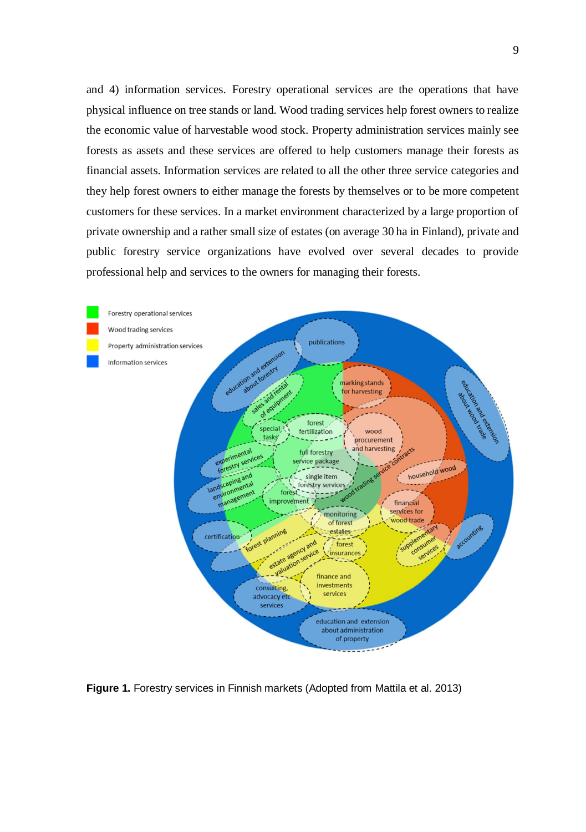and 4) information services. Forestry operational services are the operations that have physical influence on tree stands or land. Wood trading services help forest owners to realize the economic value of harvestable wood stock. Property administration services mainly see forests as assets and these services are offered to help customers manage their forests as financial assets. Information services are related to all the other three service categories and they help forest owners to either manage the forests by themselves or to be more competent customers for these services. In a market environment characterized by a large proportion of private ownership and a rather small size of estates (on average 30 ha in Finland), private and public forestry service organizations have evolved over several decades to provide professional help and services to the owners for managing their forests.



**Figure 1.** Forestry services in Finnish markets (Adopted from Mattila et al. 2013)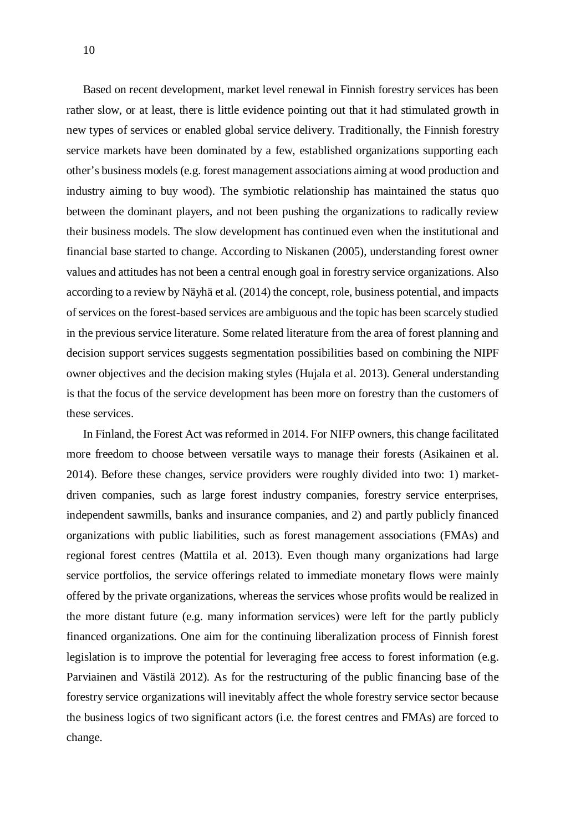Based on recent development, market level renewal in Finnish forestry services has been rather slow, or at least, there is little evidence pointing out that it had stimulated growth in new types of services or enabled global service delivery. Traditionally, the Finnish forestry service markets have been dominated by a few, established organizations supporting each other's business models (e.g. forest management associations aiming at wood production and industry aiming to buy wood). The symbiotic relationship has maintained the status quo between the dominant players, and not been pushing the organizations to radically review their business models. The slow development has continued even when the institutional and financial base started to change. According to Niskanen (2005), understanding forest owner values and attitudes has not been a central enough goal in forestry service organizations. Also according to a review by Näyhä et al. (2014) the concept, role, business potential, and impacts of services on the forest-based services are ambiguous and the topic has been scarcely studied in the previous service literature. Some related literature from the area of forest planning and decision support services suggests segmentation possibilities based on combining the NIPF owner objectives and the decision making styles (Hujala et al. 2013). General understanding is that the focus of the service development has been more on forestry than the customers of these services.

In Finland, the Forest Act was reformed in 2014. For NIFP owners, this change facilitated more freedom to choose between versatile ways to manage their forests (Asikainen et al. 2014). Before these changes, service providers were roughly divided into two: 1) marketdriven companies, such as large forest industry companies, forestry service enterprises, independent sawmills, banks and insurance companies, and 2) and partly publicly financed organizations with public liabilities, such as forest management associations (FMAs) and regional forest centres (Mattila et al. 2013). Even though many organizations had large service portfolios, the service offerings related to immediate monetary flows were mainly offered by the private organizations, whereas the services whose profits would be realized in the more distant future (e.g. many information services) were left for the partly publicly financed organizations. One aim for the continuing liberalization process of Finnish forest legislation is to improve the potential for leveraging free access to forest information (e.g. Parviainen and Västilä 2012). As for the restructuring of the public financing base of the forestry service organizations will inevitably affect the whole forestry service sector because the business logics of two significant actors (i.e. the forest centres and FMAs) are forced to change.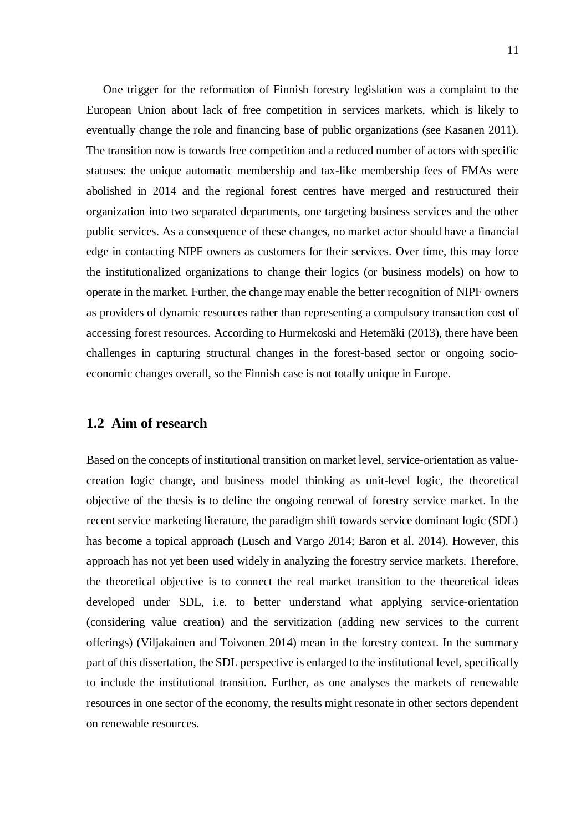One trigger for the reformation of Finnish forestry legislation was a complaint to the European Union about lack of free competition in services markets, which is likely to eventually change the role and financing base of public organizations (see Kasanen 2011). The transition now is towards free competition and a reduced number of actors with specific statuses: the unique automatic membership and tax-like membership fees of FMAs were abolished in 2014 and the regional forest centres have merged and restructured their organization into two separated departments, one targeting business services and the other public services. As a consequence of these changes, no market actor should have a financial edge in contacting NIPF owners as customers for their services. Over time, this may force the institutionalized organizations to change their logics (or business models) on how to operate in the market. Further, the change may enable the better recognition of NIPF owners as providers of dynamic resources rather than representing a compulsory transaction cost of accessing forest resources. According to Hurmekoski and Hetemäki (2013), there have been challenges in capturing structural changes in the forest-based sector or ongoing socioeconomic changes overall, so the Finnish case is not totally unique in Europe.

### **1.2 Aim of research**

Based on the concepts of institutional transition on market level, service-orientation as valuecreation logic change, and business model thinking as unit-level logic, the theoretical objective of the thesis is to define the ongoing renewal of forestry service market. In the recent service marketing literature, the paradigm shift towards service dominant logic (SDL) has become a topical approach (Lusch and Vargo 2014; Baron et al. 2014). However, this approach has not yet been used widely in analyzing the forestry service markets. Therefore, the theoretical objective is to connect the real market transition to the theoretical ideas developed under SDL, i.e. to better understand what applying service-orientation (considering value creation) and the servitization (adding new services to the current offerings) (Viljakainen and Toivonen 2014) mean in the forestry context. In the summary part of this dissertation, the SDL perspective is enlarged to the institutional level, specifically to include the institutional transition. Further, as one analyses the markets of renewable resources in one sector of the economy, the results might resonate in other sectors dependent on renewable resources.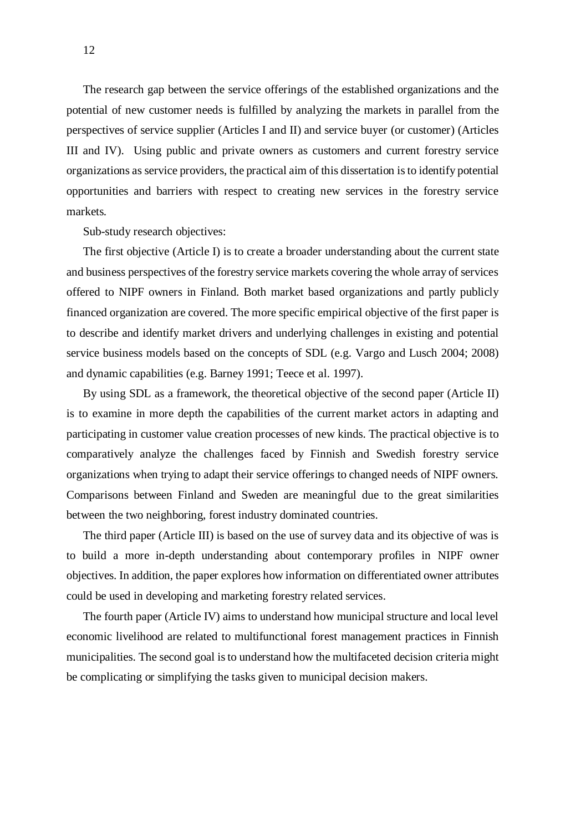The research gap between the service offerings of the established organizations and the potential of new customer needs is fulfilled by analyzing the markets in parallel from the perspectives of service supplier (Articles I and II) and service buyer (or customer) (Articles III and IV). Using public and private owners as customers and current forestry service organizations as service providers, the practical aim of this dissertation is to identify potential opportunities and barriers with respect to creating new services in the forestry service markets.

Sub-study research objectives:

The first objective (Article I) is to create a broader understanding about the current state and business perspectives of the forestry service markets covering the whole array of services offered to NIPF owners in Finland. Both market based organizations and partly publicly financed organization are covered. The more specific empirical objective of the first paper is to describe and identify market drivers and underlying challenges in existing and potential service business models based on the concepts of SDL (e.g. Vargo and Lusch 2004; 2008) and dynamic capabilities (e.g. Barney 1991; Teece et al. 1997).

By using SDL as a framework, the theoretical objective of the second paper (Article II) is to examine in more depth the capabilities of the current market actors in adapting and participating in customer value creation processes of new kinds. The practical objective is to comparatively analyze the challenges faced by Finnish and Swedish forestry service organizations when trying to adapt their service offerings to changed needs of NIPF owners. Comparisons between Finland and Sweden are meaningful due to the great similarities between the two neighboring, forest industry dominated countries.

The third paper (Article III) is based on the use of survey data and its objective of was is to build a more in-depth understanding about contemporary profiles in NIPF owner objectives. In addition, the paper explores how information on differentiated owner attributes could be used in developing and marketing forestry related services.

The fourth paper (Article IV) aims to understand how municipal structure and local level economic livelihood are related to multifunctional forest management practices in Finnish municipalities. The second goal is to understand how the multifaceted decision criteria might be complicating or simplifying the tasks given to municipal decision makers.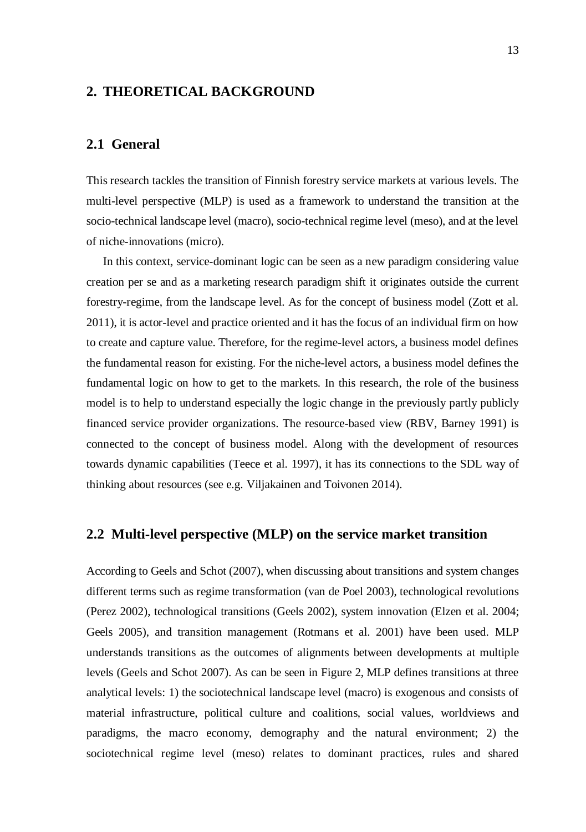### **2. THEORETICAL BACKGROUND**

### **2.1 General**

This research tackles the transition of Finnish forestry service markets at various levels. The multi-level perspective (MLP) is used as a framework to understand the transition at the socio-technical landscape level (macro), socio-technical regime level (meso), and at the level of niche-innovations (micro).

In this context, service-dominant logic can be seen as a new paradigm considering value creation per se and as a marketing research paradigm shift it originates outside the current forestry-regime, from the landscape level. As for the concept of business model (Zott et al. 2011), it is actor-level and practice oriented and it has the focus of an individual firm on how to create and capture value. Therefore, for the regime-level actors, a business model defines the fundamental reason for existing. For the niche-level actors, a business model defines the fundamental logic on how to get to the markets. In this research, the role of the business model is to help to understand especially the logic change in the previously partly publicly financed service provider organizations. The resource-based view (RBV, Barney 1991) is connected to the concept of business model. Along with the development of resources towards dynamic capabilities (Teece et al. 1997), it has its connections to the SDL way of thinking about resources (see e.g. Viljakainen and Toivonen 2014).

### **2.2 Multi-level perspective (MLP) on the service market transition**

According to Geels and Schot (2007), when discussing about transitions and system changes different terms such as regime transformation (van de Poel 2003), technological revolutions (Perez 2002), technological transitions (Geels 2002), system innovation (Elzen et al. 2004; Geels 2005), and transition management (Rotmans et al. 2001) have been used. MLP understands transitions as the outcomes of alignments between developments at multiple levels (Geels and Schot 2007). As can be seen in Figure 2, MLP defines transitions at three analytical levels: 1) the sociotechnical landscape level (macro) is exogenous and consists of material infrastructure, political culture and coalitions, social values, worldviews and paradigms, the macro economy, demography and the natural environment; 2) the sociotechnical regime level (meso) relates to dominant practices, rules and shared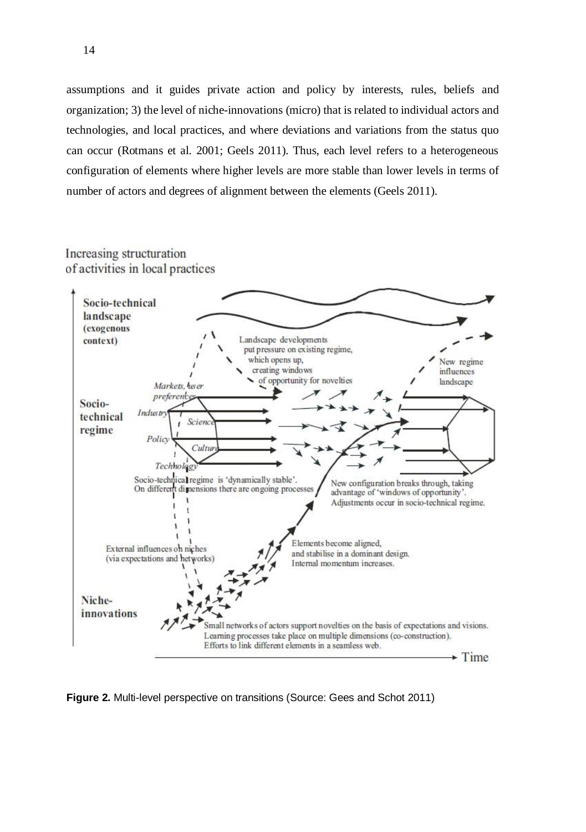assumptions and it guides private action and policy by interests, rules, beliefs and organization; 3) the level of niche-innovations (micro) that is related to individual actors and technologies, and local practices, and where deviations and variations from the status quo can occur (Rotmans et al. 2001; Geels 2011). Thus, each level refers to a heterogeneous configuration of elements where higher levels are more stable than lower levels in terms of number of actors and degrees of alignment between the elements (Geels 2011).

### Increasing structuration of activities in local practices



**Figure 2.** Multi-level perspective on transitions (Source: Gees and Schot 2011)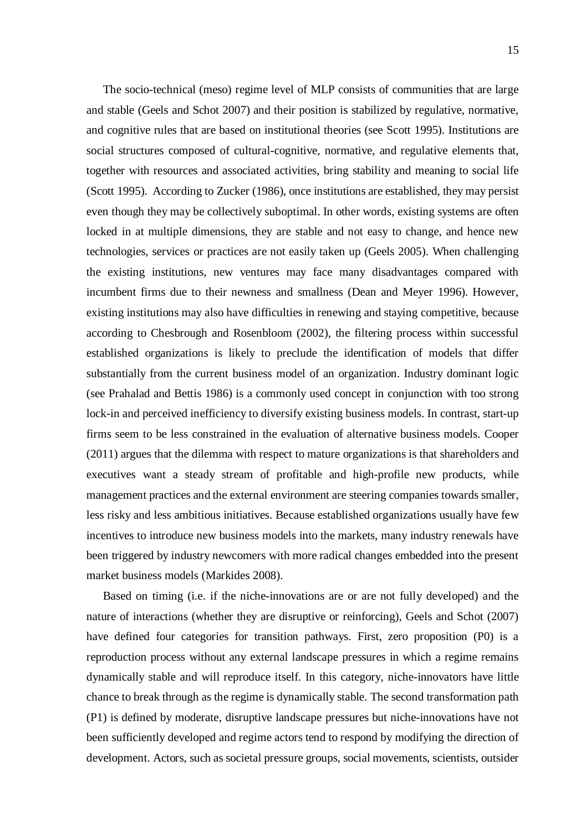The socio-technical (meso) regime level of MLP consists of communities that are large and stable (Geels and Schot 2007) and their position is stabilized by regulative, normative, and cognitive rules that are based on institutional theories (see Scott 1995). Institutions are social structures composed of cultural-cognitive, normative, and regulative elements that, together with resources and associated activities, bring stability and meaning to social life (Scott 1995). According to Zucker (1986), once institutions are established, they may persist even though they may be collectively suboptimal. In other words, existing systems are often locked in at multiple dimensions, they are stable and not easy to change, and hence new technologies, services or practices are not easily taken up (Geels 2005). When challenging the existing institutions, new ventures may face many disadvantages compared with incumbent firms due to their newness and smallness (Dean and Meyer 1996). However, existing institutions may also have difficulties in renewing and staying competitive, because according to Chesbrough and Rosenbloom (2002), the filtering process within successful established organizations is likely to preclude the identification of models that differ substantially from the current business model of an organization. Industry dominant logic (see Prahalad and Bettis 1986) is a commonly used concept in conjunction with too strong lock-in and perceived inefficiency to diversify existing business models. In contrast, start-up firms seem to be less constrained in the evaluation of alternative business models. Cooper (2011) argues that the dilemma with respect to mature organizations is that shareholders and executives want a steady stream of profitable and high-profile new products, while management practices and the external environment are steering companies towards smaller, less risky and less ambitious initiatives. Because established organizations usually have few incentives to introduce new business models into the markets, many industry renewals have been triggered by industry newcomers with more radical changes embedded into the present market business models (Markides 2008).

Based on timing (i.e. if the niche-innovations are or are not fully developed) and the nature of interactions (whether they are disruptive or reinforcing), Geels and Schot (2007) have defined four categories for transition pathways. First, zero proposition (P0) is a reproduction process without any external landscape pressures in which a regime remains dynamically stable and will reproduce itself. In this category, niche-innovators have little chance to break through as the regime is dynamically stable. The second transformation path (P1) is defined by moderate, disruptive landscape pressures but niche-innovations have not been sufficiently developed and regime actors tend to respond by modifying the direction of development. Actors, such as societal pressure groups, social movements, scientists, outsider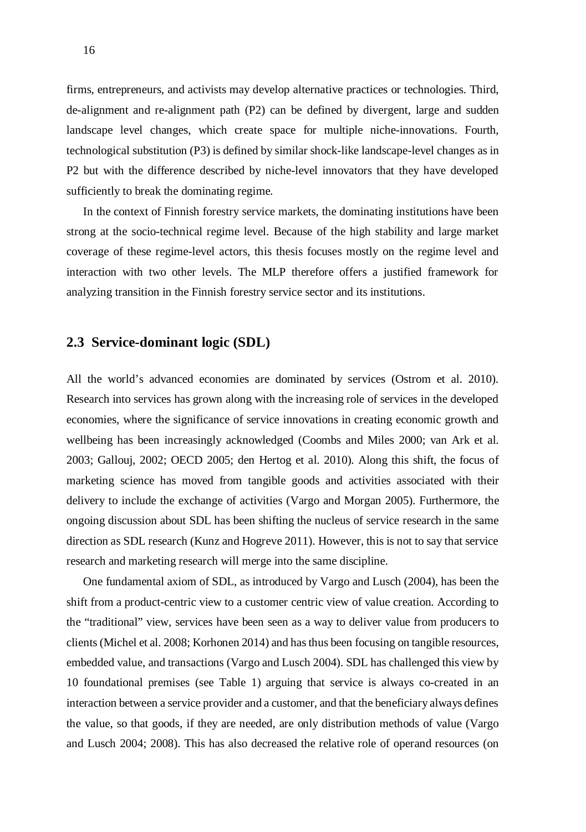firms, entrepreneurs, and activists may develop alternative practices or technologies. Third, de-alignment and re-alignment path (P2) can be defined by divergent, large and sudden landscape level changes, which create space for multiple niche-innovations. Fourth, technological substitution (P3) is defined by similar shock-like landscape-level changes as in P2 but with the difference described by niche-level innovators that they have developed sufficiently to break the dominating regime.

In the context of Finnish forestry service markets, the dominating institutions have been strong at the socio-technical regime level. Because of the high stability and large market coverage of these regime-level actors, this thesis focuses mostly on the regime level and interaction with two other levels. The MLP therefore offers a justified framework for analyzing transition in the Finnish forestry service sector and its institutions.

### **2.3 Service-dominant logic (SDL)**

All the world's advanced economies are dominated by services (Ostrom et al. 2010). Research into services has grown along with the increasing role of services in the developed economies, where the significance of service innovations in creating economic growth and wellbeing has been increasingly acknowledged (Coombs and Miles 2000; van Ark et al. 2003; Gallouj, 2002; OECD 2005; den Hertog et al. 2010). Along this shift, the focus of marketing science has moved from tangible goods and activities associated with their delivery to include the exchange of activities (Vargo and Morgan 2005). Furthermore, the ongoing discussion about SDL has been shifting the nucleus of service research in the same direction as SDL research (Kunz and Hogreve 2011). However, this is not to say that service research and marketing research will merge into the same discipline.

One fundamental axiom of SDL, as introduced by Vargo and Lusch (2004), has been the shift from a product-centric view to a customer centric view of value creation. According to the "traditional" view, services have been seen as a way to deliver value from producers to clients (Michel et al. 2008; Korhonen 2014) and has thus been focusing on tangible resources, embedded value, and transactions (Vargo and Lusch 2004). SDL has challenged this view by 10 foundational premises (see Table 1) arguing that service is always co-created in an interaction between a service provider and a customer, and that the beneficiary always defines the value, so that goods, if they are needed, are only distribution methods of value (Vargo and Lusch 2004; 2008). This has also decreased the relative role of operand resources (on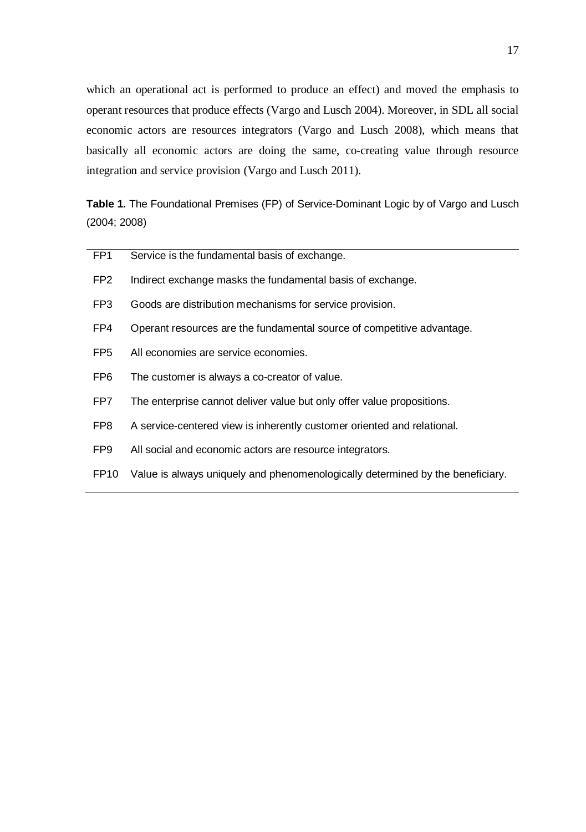which an operational act is performed to produce an effect) and moved the emphasis to operant resources that produce effects (Vargo and Lusch 2004). Moreover, in SDL all social economic actors are resources integrators (Vargo and Lusch 2008), which means that basically all economic actors are doing the same, co-creating value through resource integration and service provision (Vargo and Lusch 2011).

**Table 1.** The Foundational Premises (FP) of Service-Dominant Logic by of Vargo and Lusch (2004; 2008)

| FP <sub>1</sub>  | Service is the fundamental basis of exchange.                                  |
|------------------|--------------------------------------------------------------------------------|
| FP <sub>2</sub>  | Indirect exchange masks the fundamental basis of exchange.                     |
| FP <sub>3</sub>  | Goods are distribution mechanisms for service provision.                       |
| FP <sub>4</sub>  | Operant resources are the fundamental source of competitive advantage.         |
| FP <sub>5</sub>  | All economies are service economies.                                           |
| FP <sub>6</sub>  | The customer is always a co-creator of value.                                  |
| FP7              | The enterprise cannot deliver value but only offer value propositions.         |
| FP8              | A service-centered view is inherently customer oriented and relational.        |
| FP <sub>9</sub>  | All social and economic actors are resource integrators.                       |
| FP <sub>10</sub> | Value is always uniquely and phenomenologically determined by the beneficiary. |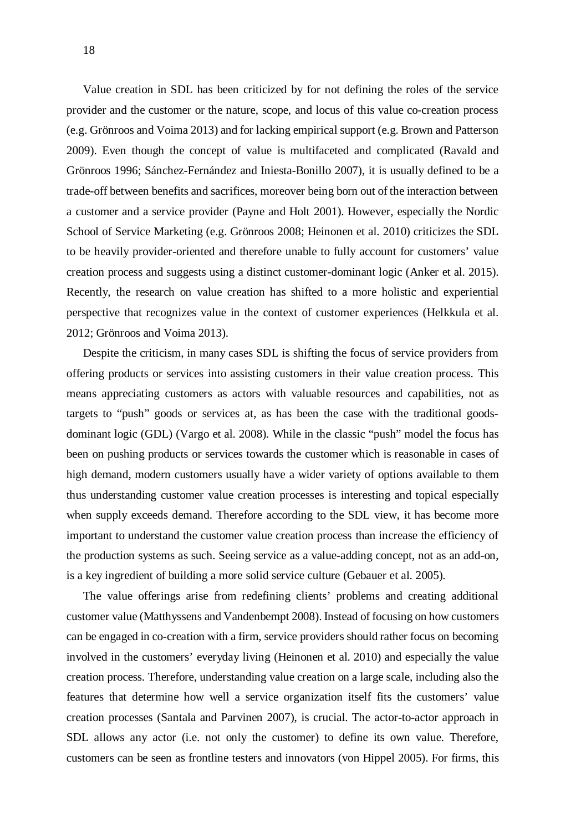Value creation in SDL has been criticized by for not defining the roles of the service provider and the customer or the nature, scope, and locus of this value co-creation process (e.g. Grönroos and Voima 2013) and for lacking empirical support (e.g. Brown and Patterson 2009). Even though the concept of value is multifaceted and complicated (Ravald and Grönroos 1996; Sánchez-Fernández and Iniesta-Bonillo 2007), it is usually defined to be a trade-off between benefits and sacrifices, moreover being born out of the interaction between a customer and a service provider (Payne and Holt 2001). However, especially the Nordic School of Service Marketing (e.g. Grönroos 2008; Heinonen et al. 2010) criticizes the SDL to be heavily provider-oriented and therefore unable to fully account for customers' value creation process and suggests using a distinct customer-dominant logic (Anker et al. 2015). Recently, the research on value creation has shifted to a more holistic and experiential perspective that recognizes value in the context of customer experiences (Helkkula et al. 2012; Grönroos and Voima 2013).

Despite the criticism, in many cases SDL is shifting the focus of service providers from offering products or services into assisting customers in their value creation process. This means appreciating customers as actors with valuable resources and capabilities, not as targets to "push" goods or services at, as has been the case with the traditional goodsdominant logic (GDL) (Vargo et al. 2008). While in the classic "push" model the focus has been on pushing products or services towards the customer which is reasonable in cases of high demand, modern customers usually have a wider variety of options available to them thus understanding customer value creation processes is interesting and topical especially when supply exceeds demand. Therefore according to the SDL view, it has become more important to understand the customer value creation process than increase the efficiency of the production systems as such. Seeing service as a value-adding concept, not as an add-on, is a key ingredient of building a more solid service culture (Gebauer et al. 2005).

The value offerings arise from redefining clients' problems and creating additional customer value (Matthyssens and Vandenbempt 2008). Instead of focusing on how customers can be engaged in co-creation with a firm, service providers should rather focus on becoming involved in the customers' everyday living (Heinonen et al. 2010) and especially the value creation process. Therefore, understanding value creation on a large scale, including also the features that determine how well a service organization itself fits the customers' value creation processes (Santala and Parvinen 2007), is crucial. The actor-to-actor approach in SDL allows any actor (i.e. not only the customer) to define its own value. Therefore, customers can be seen as frontline testers and innovators (von Hippel 2005). For firms, this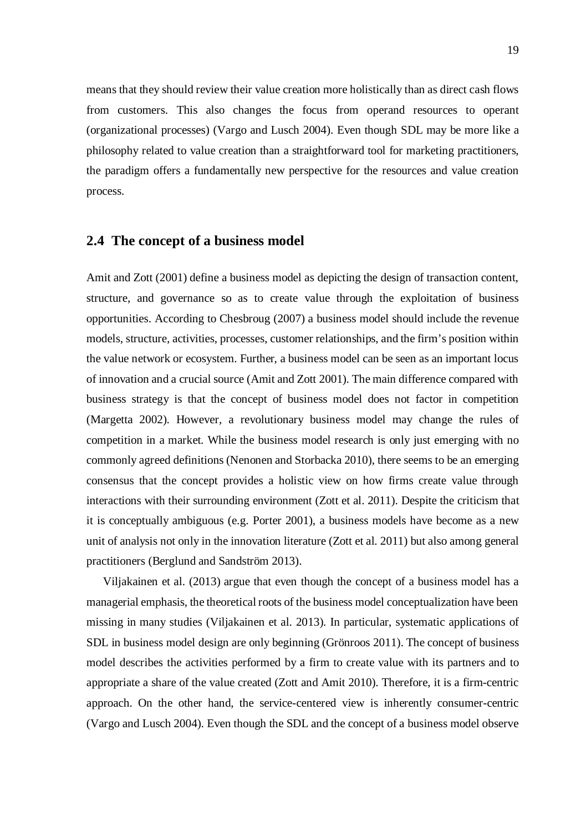means that they should review their value creation more holistically than as direct cash flows from customers. This also changes the focus from operand resources to operant (organizational processes) (Vargo and Lusch 2004). Even though SDL may be more like a philosophy related to value creation than a straightforward tool for marketing practitioners, the paradigm offers a fundamentally new perspective for the resources and value creation process.

### **2.4 The concept of a business model**

Amit and Zott (2001) define a business model as depicting the design of transaction content, structure, and governance so as to create value through the exploitation of business opportunities. According to Chesbroug (2007) a business model should include the revenue models, structure, activities, processes, customer relationships, and the firm's position within the value network or ecosystem. Further, a business model can be seen as an important locus of innovation and a crucial source (Amit and Zott 2001). The main difference compared with business strategy is that the concept of business model does not factor in competition (Margetta 2002). However, a revolutionary business model may change the rules of competition in a market. While the business model research is only just emerging with no commonly agreed definitions (Nenonen and Storbacka 2010), there seems to be an emerging consensus that the concept provides a holistic view on how firms create value through interactions with their surrounding environment (Zott et al. 2011). Despite the criticism that it is conceptually ambiguous (e.g. Porter 2001), a business models have become as a new unit of analysis not only in the innovation literature (Zott et al. 2011) but also among general practitioners (Berglund and Sandström 2013).

Viljakainen et al. (2013) argue that even though the concept of a business model has a managerial emphasis, the theoretical roots of the business model conceptualization have been missing in many studies (Viljakainen et al. 2013). In particular, systematic applications of SDL in business model design are only beginning (Grönroos 2011). The concept of business model describes the activities performed by a firm to create value with its partners and to appropriate a share of the value created (Zott and Amit 2010). Therefore, it is a firm-centric approach. On the other hand, the service-centered view is inherently consumer-centric (Vargo and Lusch 2004). Even though the SDL and the concept of a business model observe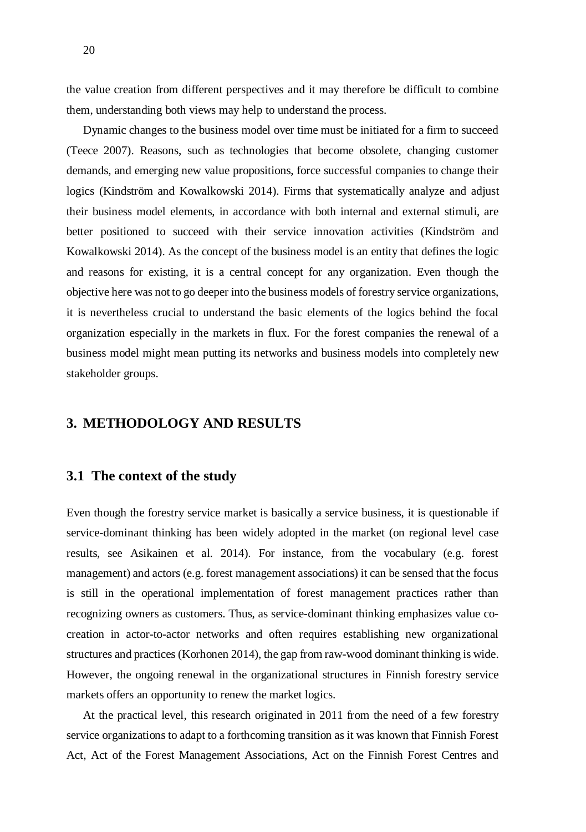the value creation from different perspectives and it may therefore be difficult to combine them, understanding both views may help to understand the process.

Dynamic changes to the business model over time must be initiated for a firm to succeed (Teece 2007). Reasons, such as technologies that become obsolete, changing customer demands, and emerging new value propositions, force successful companies to change their logics (Kindström and Kowalkowski 2014). Firms that systematically analyze and adjust their business model elements, in accordance with both internal and external stimuli, are better positioned to succeed with their service innovation activities (Kindström and Kowalkowski 2014). As the concept of the business model is an entity that defines the logic and reasons for existing, it is a central concept for any organization. Even though the objective here was not to go deeper into the business models of forestry service organizations, it is nevertheless crucial to understand the basic elements of the logics behind the focal organization especially in the markets in flux. For the forest companies the renewal of a business model might mean putting its networks and business models into completely new stakeholder groups.

### **3. METHODOLOGY AND RESULTS**

#### **3.1 The context of the study**

Even though the forestry service market is basically a service business, it is questionable if service-dominant thinking has been widely adopted in the market (on regional level case results, see Asikainen et al. 2014). For instance, from the vocabulary (e.g. forest management) and actors (e.g. forest management associations) it can be sensed that the focus is still in the operational implementation of forest management practices rather than recognizing owners as customers. Thus, as service-dominant thinking emphasizes value cocreation in actor-to-actor networks and often requires establishing new organizational structures and practices (Korhonen 2014), the gap from raw-wood dominant thinking is wide. However, the ongoing renewal in the organizational structures in Finnish forestry service markets offers an opportunity to renew the market logics.

At the practical level, this research originated in 2011 from the need of a few forestry service organizations to adapt to a forthcoming transition as it was known that Finnish Forest Act, Act of the Forest Management Associations, Act on the Finnish Forest Centres and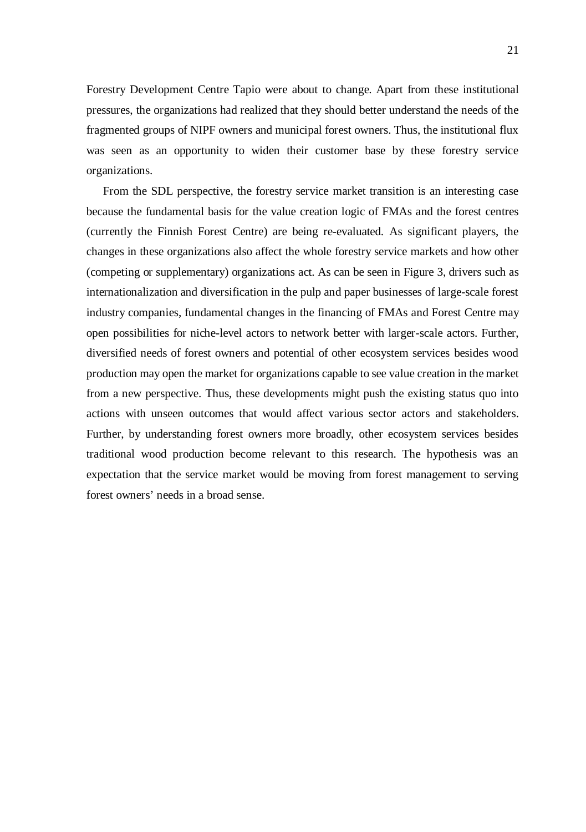Forestry Development Centre Tapio were about to change. Apart from these institutional pressures, the organizations had realized that they should better understand the needs of the fragmented groups of NIPF owners and municipal forest owners. Thus, the institutional flux was seen as an opportunity to widen their customer base by these forestry service organizations.

From the SDL perspective, the forestry service market transition is an interesting case because the fundamental basis for the value creation logic of FMAs and the forest centres (currently the Finnish Forest Centre) are being re-evaluated. As significant players, the changes in these organizations also affect the whole forestry service markets and how other (competing or supplementary) organizations act. As can be seen in Figure 3, drivers such as internationalization and diversification in the pulp and paper businesses of large-scale forest industry companies, fundamental changes in the financing of FMAs and Forest Centre may open possibilities for niche-level actors to network better with larger-scale actors. Further, diversified needs of forest owners and potential of other ecosystem services besides wood production may open the market for organizations capable to see value creation in the market from a new perspective. Thus, these developments might push the existing status quo into actions with unseen outcomes that would affect various sector actors and stakeholders. Further, by understanding forest owners more broadly, other ecosystem services besides traditional wood production become relevant to this research. The hypothesis was an expectation that the service market would be moving from forest management to serving forest owners' needs in a broad sense.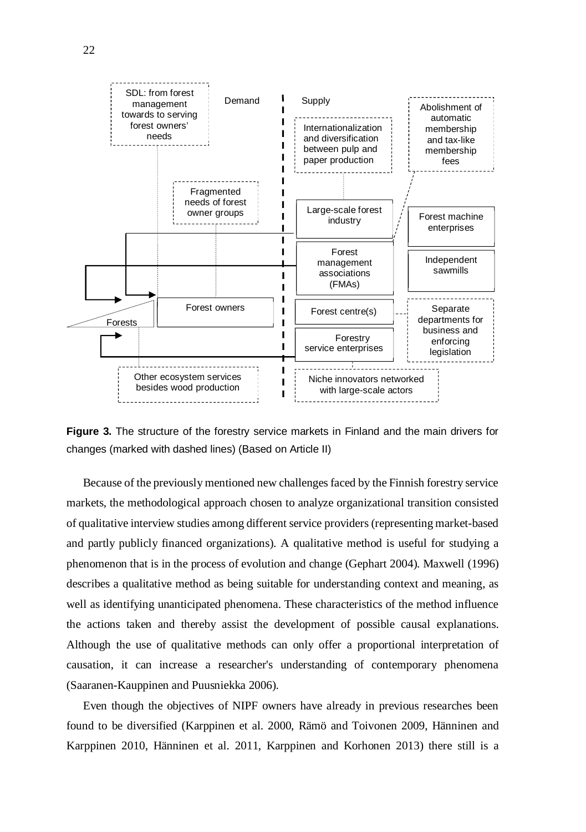

**Figure 3.** The structure of the forestry service markets in Finland and the main drivers for changes (marked with dashed lines) (Based on Article II)

Because of the previously mentioned new challenges faced by the Finnish forestry service markets, the methodological approach chosen to analyze organizational transition consisted of qualitative interview studies among different service providers (representing market-based and partly publicly financed organizations). A qualitative method is useful for studying a phenomenon that is in the process of evolution and change (Gephart 2004). Maxwell (1996) describes a qualitative method as being suitable for understanding context and meaning, as well as identifying unanticipated phenomena. These characteristics of the method influence the actions taken and thereby assist the development of possible causal explanations. Although the use of qualitative methods can only offer a proportional interpretation of causation, it can increase a researcher's understanding of contemporary phenomena (Saaranen-Kauppinen and Puusniekka 2006).

Even though the objectives of NIPF owners have already in previous researches been found to be diversified (Karppinen et al. 2000, Rämö and Toivonen 2009, Hänninen and Karppinen 2010, Hänninen et al. 2011, Karppinen and Korhonen 2013) there still is a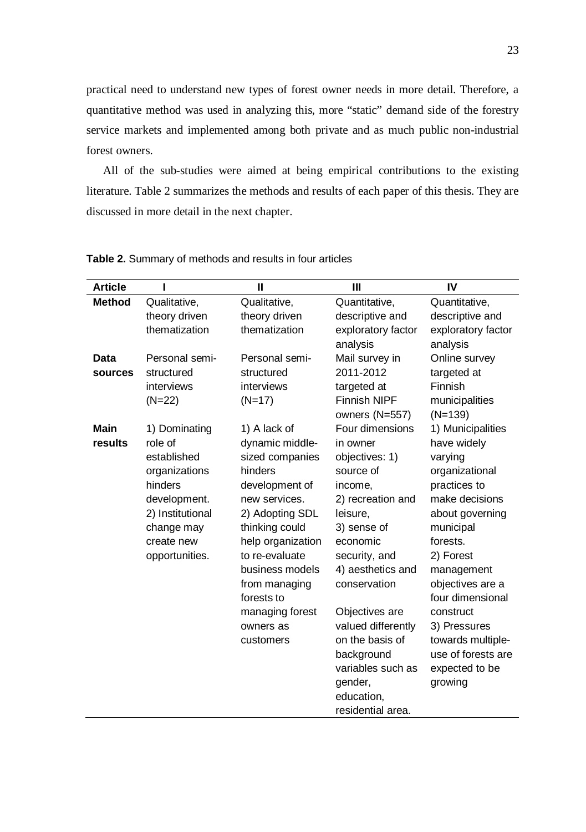practical need to understand new types of forest owner needs in more detail. Therefore, a quantitative method was used in analyzing this, more "static" demand side of the forestry service markets and implemented among both private and as much public non-industrial forest owners.

All of the sub-studies were aimed at being empirical contributions to the existing literature. Table 2 summarizes the methods and results of each paper of this thesis. They are discussed in more detail in the next chapter.

| <b>Article</b> |                  | Ш                 | Ш                   | IV                 |
|----------------|------------------|-------------------|---------------------|--------------------|
| <b>Method</b>  | Qualitative,     | Qualitative,      | Quantitative,       | Quantitative,      |
|                | theory driven    | theory driven     | descriptive and     | descriptive and    |
|                | thematization    | thematization     | exploratory factor  | exploratory factor |
|                |                  |                   | analysis            | analysis           |
| Data           | Personal semi-   | Personal semi-    | Mail survey in      | Online survey      |
| sources        | structured       | structured        | 2011-2012           | targeted at        |
|                | interviews       | interviews        | targeted at         | Finnish            |
|                | $(N=22)$         | $(N=17)$          | <b>Finnish NIPF</b> | municipalities     |
|                |                  |                   | owners (N=557)      | $(N=139)$          |
| <b>Main</b>    | 1) Dominating    | 1) A lack of      | Four dimensions     | 1) Municipalities  |
| results        | role of          | dynamic middle-   | in owner            | have widely        |
|                | established      | sized companies   | objectives: 1)      | varying            |
|                | organizations    | hinders           | source of           | organizational     |
|                | hinders          | development of    | income.             | practices to       |
|                | development.     | new services.     | 2) recreation and   | make decisions     |
|                | 2) Institutional | 2) Adopting SDL   | leisure,            | about governing    |
|                | change may       | thinking could    | 3) sense of         | municipal          |
|                | create new       | help organization | economic            | forests.           |
|                | opportunities.   | to re-evaluate    | security, and       | 2) Forest          |
|                |                  | business models   | 4) aesthetics and   | management         |
|                |                  | from managing     | conservation        | objectives are a   |
|                |                  | forests to        |                     | four dimensional   |
|                |                  | managing forest   | Objectives are      | construct          |
|                |                  | owners as         | valued differently  | 3) Pressures       |
|                |                  | customers         | on the basis of     | towards multiple-  |
|                |                  |                   | background          | use of forests are |
|                |                  |                   | variables such as   | expected to be     |
|                |                  |                   | gender,             | growing            |
|                |                  |                   | education,          |                    |
|                |                  |                   | residential area.   |                    |

**Table 2.** Summary of methods and results in four articles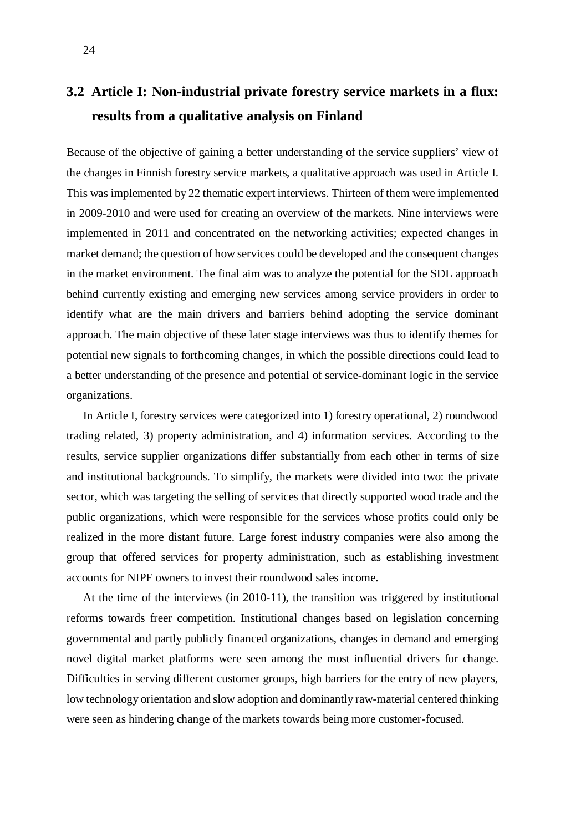# **3.2 Article I: Non-industrial private forestry service markets in a flux: results from a qualitative analysis on Finland**

Because of the objective of gaining a better understanding of the service suppliers' view of the changes in Finnish forestry service markets, a qualitative approach was used in Article I. This was implemented by 22 thematic expert interviews. Thirteen of them were implemented in 2009-2010 and were used for creating an overview of the markets. Nine interviews were implemented in 2011 and concentrated on the networking activities; expected changes in market demand; the question of how services could be developed and the consequent changes in the market environment. The final aim was to analyze the potential for the SDL approach behind currently existing and emerging new services among service providers in order to identify what are the main drivers and barriers behind adopting the service dominant approach. The main objective of these later stage interviews was thus to identify themes for potential new signals to forthcoming changes, in which the possible directions could lead to a better understanding of the presence and potential of service-dominant logic in the service organizations.

In Article I, forestry services were categorized into 1) forestry operational, 2) roundwood trading related, 3) property administration, and 4) information services. According to the results, service supplier organizations differ substantially from each other in terms of size and institutional backgrounds. To simplify, the markets were divided into two: the private sector, which was targeting the selling of services that directly supported wood trade and the public organizations, which were responsible for the services whose profits could only be realized in the more distant future. Large forest industry companies were also among the group that offered services for property administration, such as establishing investment accounts for NIPF owners to invest their roundwood sales income.

At the time of the interviews (in 2010-11), the transition was triggered by institutional reforms towards freer competition. Institutional changes based on legislation concerning governmental and partly publicly financed organizations, changes in demand and emerging novel digital market platforms were seen among the most influential drivers for change. Difficulties in serving different customer groups, high barriers for the entry of new players, low technology orientation and slow adoption and dominantly raw-material centered thinking were seen as hindering change of the markets towards being more customer-focused.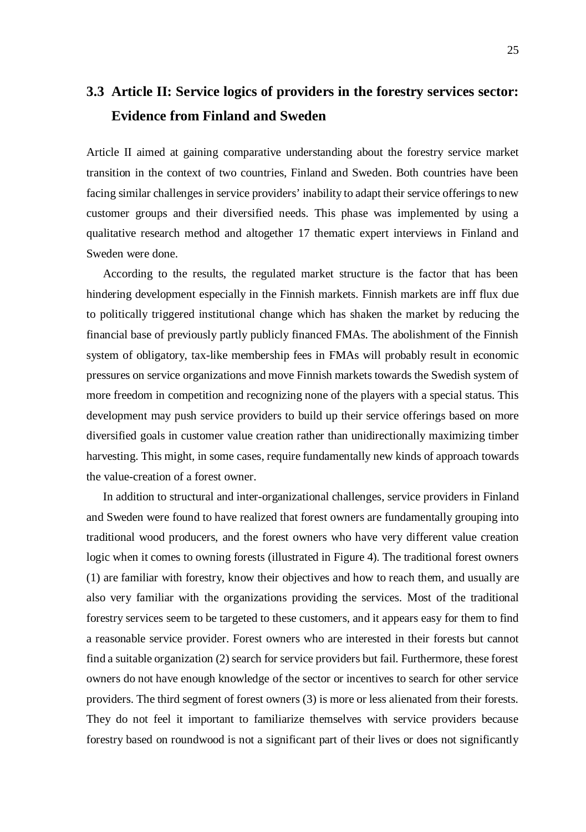# **3.3 Article II: Service logics of providers in the forestry services sector: Evidence from Finland and Sweden**

Article II aimed at gaining comparative understanding about the forestry service market transition in the context of two countries, Finland and Sweden. Both countries have been facing similar challenges in service providers' inability to adapt their service offerings to new customer groups and their diversified needs. This phase was implemented by using a qualitative research method and altogether 17 thematic expert interviews in Finland and Sweden were done.

According to the results, the regulated market structure is the factor that has been hindering development especially in the Finnish markets. Finnish markets are inff flux due to politically triggered institutional change which has shaken the market by reducing the financial base of previously partly publicly financed FMAs. The abolishment of the Finnish system of obligatory, tax-like membership fees in FMAs will probably result in economic pressures on service organizations and move Finnish markets towards the Swedish system of more freedom in competition and recognizing none of the players with a special status. This development may push service providers to build up their service offerings based on more diversified goals in customer value creation rather than unidirectionally maximizing timber harvesting. This might, in some cases, require fundamentally new kinds of approach towards the value-creation of a forest owner.

In addition to structural and inter-organizational challenges, service providers in Finland and Sweden were found to have realized that forest owners are fundamentally grouping into traditional wood producers, and the forest owners who have very different value creation logic when it comes to owning forests (illustrated in Figure 4). The traditional forest owners (1) are familiar with forestry, know their objectives and how to reach them, and usually are also very familiar with the organizations providing the services. Most of the traditional forestry services seem to be targeted to these customers, and it appears easy for them to find a reasonable service provider. Forest owners who are interested in their forests but cannot find a suitable organization (2) search for service providers but fail. Furthermore, these forest owners do not have enough knowledge of the sector or incentives to search for other service providers. The third segment of forest owners (3) is more or less alienated from their forests. They do not feel it important to familiarize themselves with service providers because forestry based on roundwood is not a significant part of their lives or does not significantly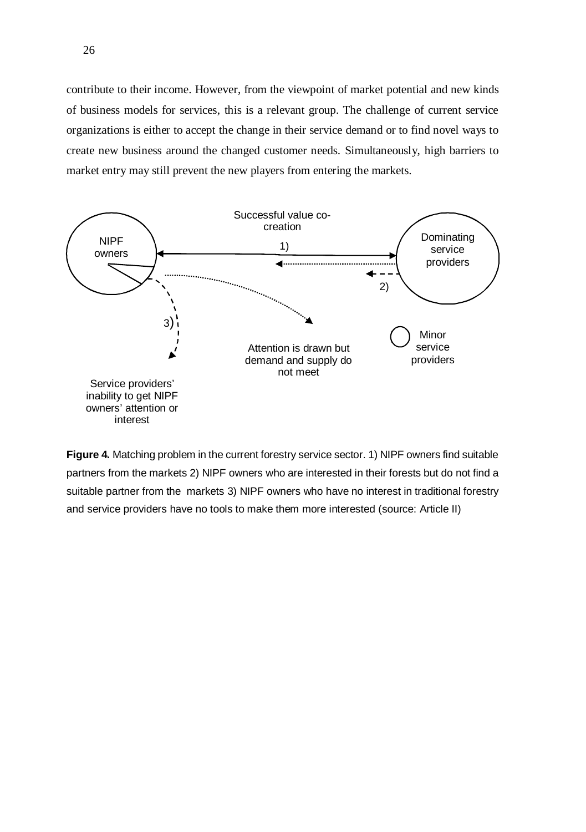contribute to their income. However, from the viewpoint of market potential and new kinds of business models for services, this is a relevant group. The challenge of current service organizations is either to accept the change in their service demand or to find novel ways to create new business around the changed customer needs. Simultaneously, high barriers to market entry may still prevent the new players from entering the markets.



**Figure 4.** Matching problem in the current forestry service sector. 1) NIPF owners find suitable partners from the markets 2) NIPF owners who are interested in their forests but do not find a suitable partner from the markets 3) NIPF owners who have no interest in traditional forestry and service providers have no tools to make them more interested (source: Article II)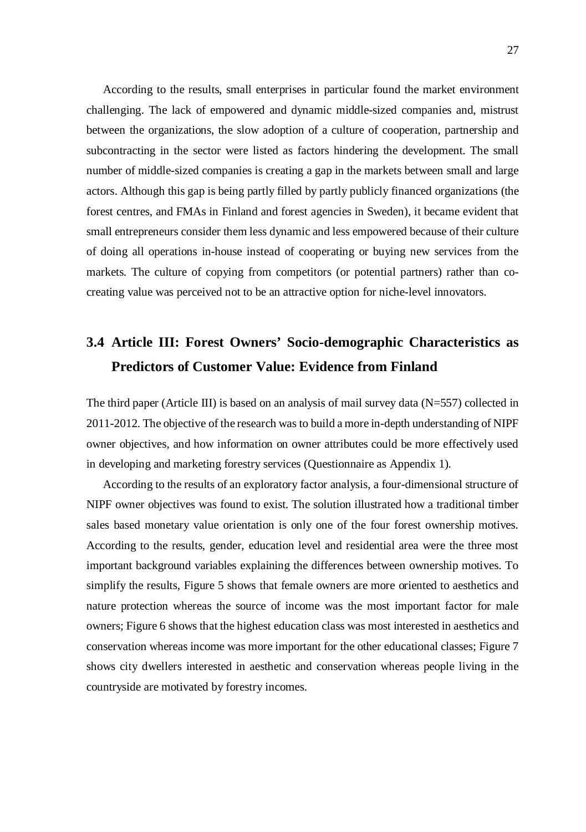According to the results, small enterprises in particular found the market environment challenging. The lack of empowered and dynamic middle-sized companies and, mistrust between the organizations, the slow adoption of a culture of cooperation, partnership and subcontracting in the sector were listed as factors hindering the development. The small number of middle-sized companies is creating a gap in the markets between small and large actors. Although this gap is being partly filled by partly publicly financed organizations (the forest centres, and FMAs in Finland and forest agencies in Sweden), it became evident that small entrepreneurs consider them less dynamic and less empowered because of their culture of doing all operations in-house instead of cooperating or buying new services from the markets. The culture of copying from competitors (or potential partners) rather than cocreating value was perceived not to be an attractive option for niche-level innovators.

# **3.4 Article III: Forest Owners' Socio-demographic Characteristics as Predictors of Customer Value: Evidence from Finland**

The third paper (Article III) is based on an analysis of mail survey data (N=557) collected in 2011-2012. The objective of the research was to build a more in-depth understanding of NIPF owner objectives, and how information on owner attributes could be more effectively used in developing and marketing forestry services (Questionnaire as Appendix 1).

According to the results of an exploratory factor analysis, a four-dimensional structure of NIPF owner objectives was found to exist. The solution illustrated how a traditional timber sales based monetary value orientation is only one of the four forest ownership motives. According to the results, gender, education level and residential area were the three most important background variables explaining the differences between ownership motives. To simplify the results, Figure 5 shows that female owners are more oriented to aesthetics and nature protection whereas the source of income was the most important factor for male owners; Figure 6 shows that the highest education class was most interested in aesthetics and conservation whereas income was more important for the other educational classes; Figure 7 shows city dwellers interested in aesthetic and conservation whereas people living in the countryside are motivated by forestry incomes.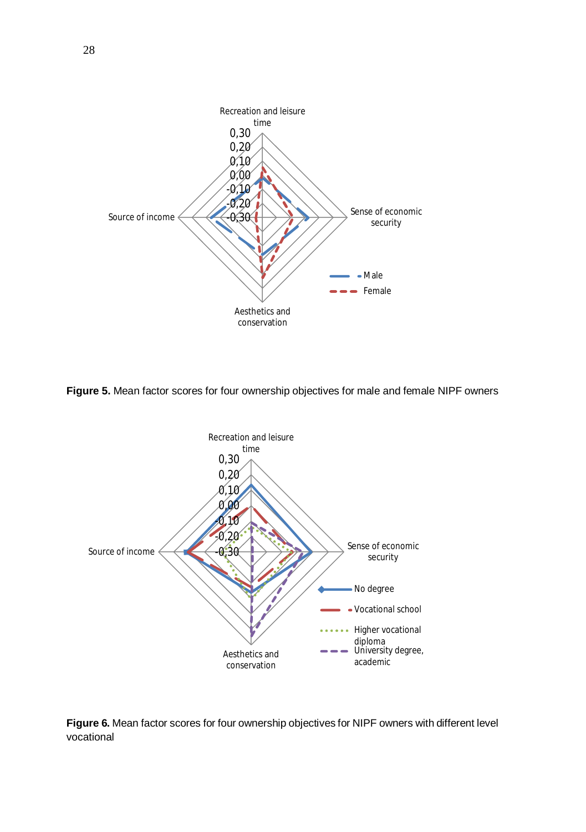

**Figure 5.** Mean factor scores for four ownership objectives for male and female NIPF owners



**Figure 6.** Mean factor scores for four ownership objectives for NIPF owners with different level vocational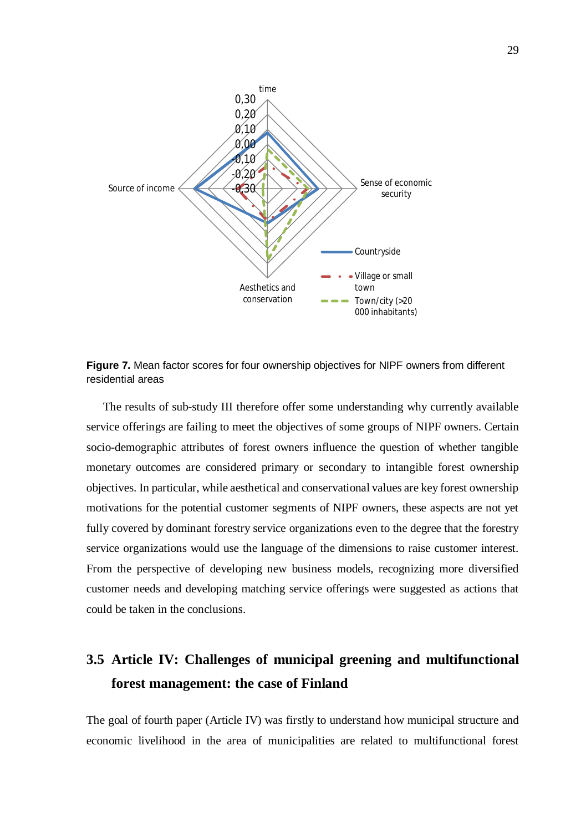

**Figure 7.** Mean factor scores for four ownership objectives for NIPF owners from different residential areas

The results of sub-study III therefore offer some understanding why currently available service offerings are failing to meet the objectives of some groups of NIPF owners. Certain socio-demographic attributes of forest owners influence the question of whether tangible monetary outcomes are considered primary or secondary to intangible forest ownership objectives. In particular, while aesthetical and conservational values are key forest ownership motivations for the potential customer segments of NIPF owners, these aspects are not yet fully covered by dominant forestry service organizations even to the degree that the forestry service organizations would use the language of the dimensions to raise customer interest. From the perspective of developing new business models, recognizing more diversified customer needs and developing matching service offerings were suggested as actions that could be taken in the conclusions.

# **3.5 Article IV: Challenges of municipal greening and multifunctional forest management: the case of Finland**

The goal of fourth paper (Article IV) was firstly to understand how municipal structure and economic livelihood in the area of municipalities are related to multifunctional forest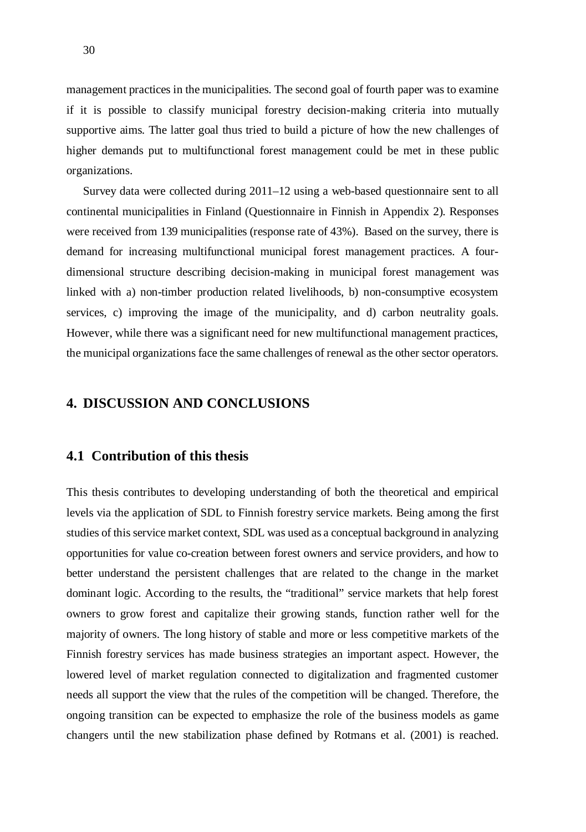management practices in the municipalities. The second goal of fourth paper was to examine if it is possible to classify municipal forestry decision-making criteria into mutually supportive aims. The latter goal thus tried to build a picture of how the new challenges of higher demands put to multifunctional forest management could be met in these public organizations.

Survey data were collected during 2011–12 using a web-based questionnaire sent to all continental municipalities in Finland (Questionnaire in Finnish in Appendix 2). Responses were received from 139 municipalities (response rate of 43%). Based on the survey, there is demand for increasing multifunctional municipal forest management practices. A fourdimensional structure describing decision-making in municipal forest management was linked with a) non-timber production related livelihoods, b) non-consumptive ecosystem services, c) improving the image of the municipality, and d) carbon neutrality goals. However, while there was a significant need for new multifunctional management practices, the municipal organizations face the same challenges of renewal as the other sector operators.

#### **4. DISCUSSION AND CONCLUSIONS**

### **4.1 Contribution of this thesis**

This thesis contributes to developing understanding of both the theoretical and empirical levels via the application of SDL to Finnish forestry service markets. Being among the first studies of this service market context, SDL was used as a conceptual background in analyzing opportunities for value co-creation between forest owners and service providers, and how to better understand the persistent challenges that are related to the change in the market dominant logic. According to the results, the "traditional" service markets that help forest owners to grow forest and capitalize their growing stands, function rather well for the majority of owners. The long history of stable and more or less competitive markets of the Finnish forestry services has made business strategies an important aspect. However, the lowered level of market regulation connected to digitalization and fragmented customer needs all support the view that the rules of the competition will be changed. Therefore, the ongoing transition can be expected to emphasize the role of the business models as game changers until the new stabilization phase defined by Rotmans et al. (2001) is reached.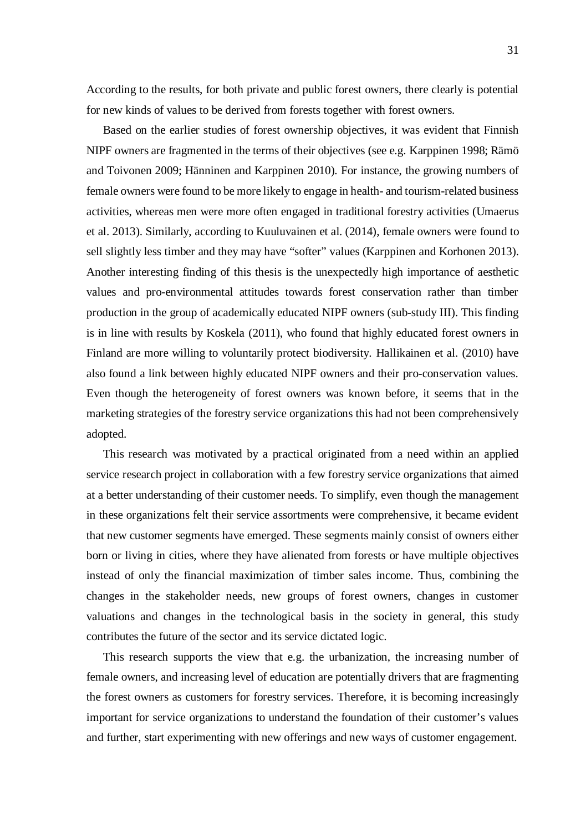According to the results, for both private and public forest owners, there clearly is potential for new kinds of values to be derived from forests together with forest owners.

Based on the earlier studies of forest ownership objectives, it was evident that Finnish NIPF owners are fragmented in the terms of their objectives (see e.g. Karppinen 1998; Rämö and Toivonen 2009; Hänninen and Karppinen 2010). For instance, the growing numbers of female owners were found to be more likely to engage in health- and tourism-related business activities, whereas men were more often engaged in traditional forestry activities (Umaerus et al. 2013). Similarly, according to Kuuluvainen et al. (2014), female owners were found to sell slightly less timber and they may have "softer" values (Karppinen and Korhonen 2013). Another interesting finding of this thesis is the unexpectedly high importance of aesthetic values and pro-environmental attitudes towards forest conservation rather than timber production in the group of academically educated NIPF owners (sub-study III). This finding is in line with results by Koskela (2011), who found that highly educated forest owners in Finland are more willing to voluntarily protect biodiversity. Hallikainen et al. (2010) have also found a link between highly educated NIPF owners and their pro-conservation values. Even though the heterogeneity of forest owners was known before, it seems that in the marketing strategies of the forestry service organizations this had not been comprehensively adopted.

This research was motivated by a practical originated from a need within an applied service research project in collaboration with a few forestry service organizations that aimed at a better understanding of their customer needs. To simplify, even though the management in these organizations felt their service assortments were comprehensive, it became evident that new customer segments have emerged. These segments mainly consist of owners either born or living in cities, where they have alienated from forests or have multiple objectives instead of only the financial maximization of timber sales income. Thus, combining the changes in the stakeholder needs, new groups of forest owners, changes in customer valuations and changes in the technological basis in the society in general, this study contributes the future of the sector and its service dictated logic.

This research supports the view that e.g. the urbanization, the increasing number of female owners, and increasing level of education are potentially drivers that are fragmenting the forest owners as customers for forestry services. Therefore, it is becoming increasingly important for service organizations to understand the foundation of their customer's values and further, start experimenting with new offerings and new ways of customer engagement.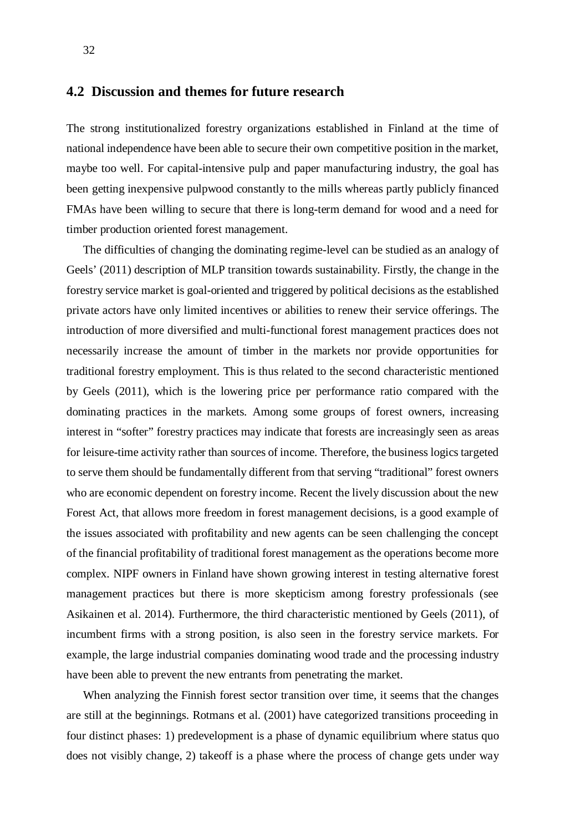### **4.2 Discussion and themes for future research**

The strong institutionalized forestry organizations established in Finland at the time of national independence have been able to secure their own competitive position in the market, maybe too well. For capital-intensive pulp and paper manufacturing industry, the goal has been getting inexpensive pulpwood constantly to the mills whereas partly publicly financed FMAs have been willing to secure that there is long-term demand for wood and a need for timber production oriented forest management.

The difficulties of changing the dominating regime-level can be studied as an analogy of Geels' (2011) description of MLP transition towards sustainability. Firstly, the change in the forestry service market is goal-oriented and triggered by political decisions as the established private actors have only limited incentives or abilities to renew their service offerings. The introduction of more diversified and multi-functional forest management practices does not necessarily increase the amount of timber in the markets nor provide opportunities for traditional forestry employment. This is thus related to the second characteristic mentioned by Geels (2011), which is the lowering price per performance ratio compared with the dominating practices in the markets. Among some groups of forest owners, increasing interest in "softer" forestry practices may indicate that forests are increasingly seen as areas for leisure-time activity rather than sources of income. Therefore, the business logics targeted to serve them should be fundamentally different from that serving "traditional" forest owners who are economic dependent on forestry income. Recent the lively discussion about the new Forest Act, that allows more freedom in forest management decisions, is a good example of the issues associated with profitability and new agents can be seen challenging the concept of the financial profitability of traditional forest management as the operations become more complex. NIPF owners in Finland have shown growing interest in testing alternative forest management practices but there is more skepticism among forestry professionals (see Asikainen et al. 2014). Furthermore, the third characteristic mentioned by Geels (2011), of incumbent firms with a strong position, is also seen in the forestry service markets. For example, the large industrial companies dominating wood trade and the processing industry have been able to prevent the new entrants from penetrating the market.

When analyzing the Finnish forest sector transition over time, it seems that the changes are still at the beginnings. Rotmans et al. (2001) have categorized transitions proceeding in four distinct phases: 1) predevelopment is a phase of dynamic equilibrium where status quo does not visibly change, 2) takeoff is a phase where the process of change gets under way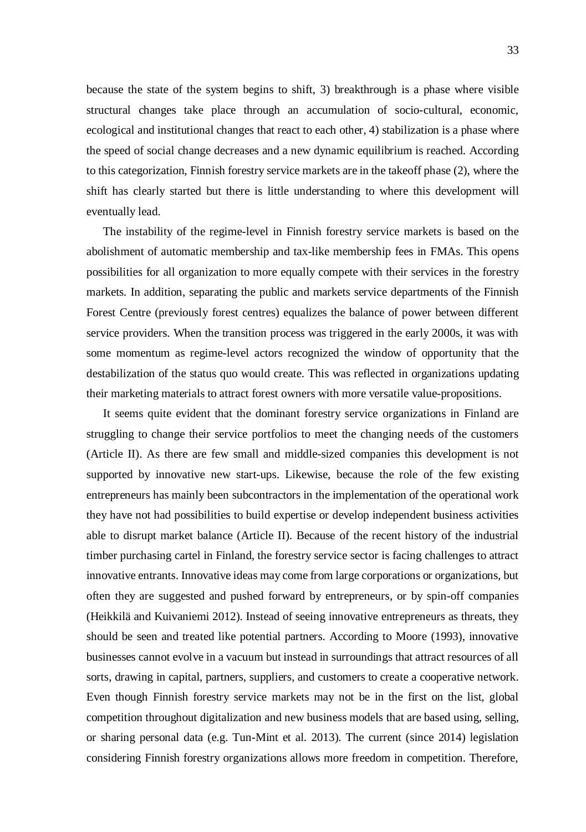because the state of the system begins to shift, 3) breakthrough is a phase where visible structural changes take place through an accumulation of socio-cultural, economic, ecological and institutional changes that react to each other, 4) stabilization is a phase where the speed of social change decreases and a new dynamic equilibrium is reached. According to this categorization, Finnish forestry service markets are in the takeoff phase (2), where the shift has clearly started but there is little understanding to where this development will eventually lead.

The instability of the regime-level in Finnish forestry service markets is based on the abolishment of automatic membership and tax-like membership fees in FMAs. This opens possibilities for all organization to more equally compete with their services in the forestry markets. In addition, separating the public and markets service departments of the Finnish Forest Centre (previously forest centres) equalizes the balance of power between different service providers. When the transition process was triggered in the early 2000s, it was with some momentum as regime-level actors recognized the window of opportunity that the destabilization of the status quo would create. This was reflected in organizations updating their marketing materials to attract forest owners with more versatile value-propositions.

It seems quite evident that the dominant forestry service organizations in Finland are struggling to change their service portfolios to meet the changing needs of the customers (Article II). As there are few small and middle-sized companies this development is not supported by innovative new start-ups. Likewise, because the role of the few existing entrepreneurs has mainly been subcontractors in the implementation of the operational work they have not had possibilities to build expertise or develop independent business activities able to disrupt market balance (Article II). Because of the recent history of the industrial timber purchasing cartel in Finland, the forestry service sector is facing challenges to attract innovative entrants. Innovative ideas may come from large corporations or organizations, but often they are suggested and pushed forward by entrepreneurs, or by spin-off companies (Heikkilä and Kuivaniemi 2012). Instead of seeing innovative entrepreneurs as threats, they should be seen and treated like potential partners. According to Moore (1993), innovative businesses cannot evolve in a vacuum but instead in surroundings that attract resources of all sorts, drawing in capital, partners, suppliers, and customers to create a cooperative network. Even though Finnish forestry service markets may not be in the first on the list, global competition throughout digitalization and new business models that are based using, selling, or sharing personal data (e.g. Tun-Mint et al. 2013). The current (since 2014) legislation considering Finnish forestry organizations allows more freedom in competition. Therefore,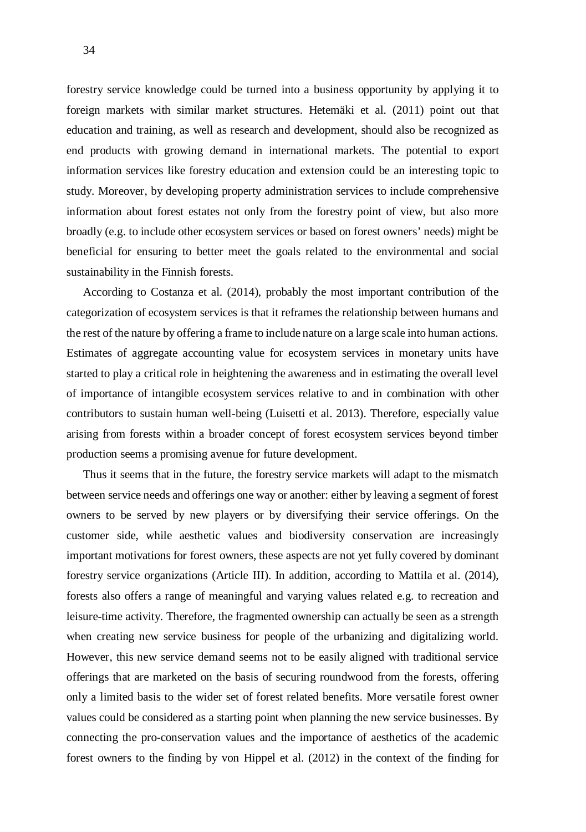forestry service knowledge could be turned into a business opportunity by applying it to foreign markets with similar market structures. Hetemäki et al. (2011) point out that education and training, as well as research and development, should also be recognized as end products with growing demand in international markets. The potential to export information services like forestry education and extension could be an interesting topic to study. Moreover, by developing property administration services to include comprehensive information about forest estates not only from the forestry point of view, but also more broadly (e.g. to include other ecosystem services or based on forest owners' needs) might be beneficial for ensuring to better meet the goals related to the environmental and social sustainability in the Finnish forests.

According to Costanza et al. (2014), probably the most important contribution of the categorization of ecosystem services is that it reframes the relationship between humans and the rest of the nature by offering a frame to include nature on a large scale into human actions. Estimates of aggregate accounting value for ecosystem services in monetary units have started to play a critical role in heightening the awareness and in estimating the overall level of importance of intangible ecosystem services relative to and in combination with other contributors to sustain human well-being (Luisetti et al. 2013). Therefore, especially value arising from forests within a broader concept of forest ecosystem services beyond timber production seems a promising avenue for future development.

Thus it seems that in the future, the forestry service markets will adapt to the mismatch between service needs and offerings one way or another: either by leaving a segment of forest owners to be served by new players or by diversifying their service offerings. On the customer side, while aesthetic values and biodiversity conservation are increasingly important motivations for forest owners, these aspects are not yet fully covered by dominant forestry service organizations (Article III). In addition, according to Mattila et al. (2014), forests also offers a range of meaningful and varying values related e.g. to recreation and leisure-time activity. Therefore, the fragmented ownership can actually be seen as a strength when creating new service business for people of the urbanizing and digitalizing world. However, this new service demand seems not to be easily aligned with traditional service offerings that are marketed on the basis of securing roundwood from the forests, offering only a limited basis to the wider set of forest related benefits. More versatile forest owner values could be considered as a starting point when planning the new service businesses. By connecting the pro-conservation values and the importance of aesthetics of the academic forest owners to the finding by von Hippel et al. (2012) in the context of the finding for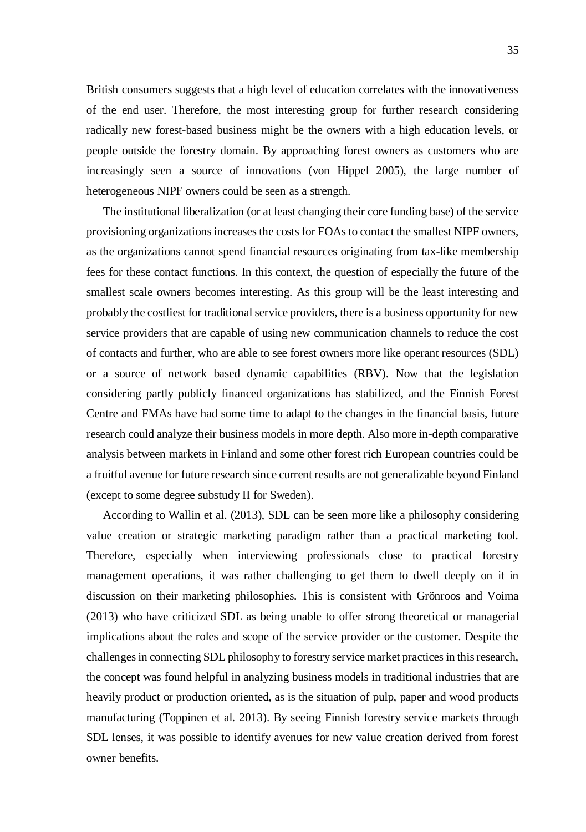British consumers suggests that a high level of education correlates with the innovativeness of the end user. Therefore, the most interesting group for further research considering radically new forest-based business might be the owners with a high education levels, or people outside the forestry domain. By approaching forest owners as customers who are increasingly seen a source of innovations (von Hippel 2005), the large number of heterogeneous NIPF owners could be seen as a strength.

The institutional liberalization (or at least changing their core funding base) of the service provisioning organizations increases the costs for FOAs to contact the smallest NIPF owners, as the organizations cannot spend financial resources originating from tax-like membership fees for these contact functions. In this context, the question of especially the future of the smallest scale owners becomes interesting. As this group will be the least interesting and probably the costliest for traditional service providers, there is a business opportunity for new service providers that are capable of using new communication channels to reduce the cost of contacts and further, who are able to see forest owners more like operant resources (SDL) or a source of network based dynamic capabilities (RBV). Now that the legislation considering partly publicly financed organizations has stabilized, and the Finnish Forest Centre and FMAs have had some time to adapt to the changes in the financial basis, future research could analyze their business models in more depth. Also more in-depth comparative analysis between markets in Finland and some other forest rich European countries could be a fruitful avenue for future research since current results are not generalizable beyond Finland (except to some degree substudy II for Sweden).

According to Wallin et al. (2013), SDL can be seen more like a philosophy considering value creation or strategic marketing paradigm rather than a practical marketing tool. Therefore, especially when interviewing professionals close to practical forestry management operations, it was rather challenging to get them to dwell deeply on it in discussion on their marketing philosophies. This is consistent with Grönroos and Voima (2013) who have criticized SDL as being unable to offer strong theoretical or managerial implications about the roles and scope of the service provider or the customer. Despite the challenges in connecting SDL philosophy to forestry service market practices in this research, the concept was found helpful in analyzing business models in traditional industries that are heavily product or production oriented, as is the situation of pulp, paper and wood products manufacturing (Toppinen et al. 2013). By seeing Finnish forestry service markets through SDL lenses, it was possible to identify avenues for new value creation derived from forest owner benefits.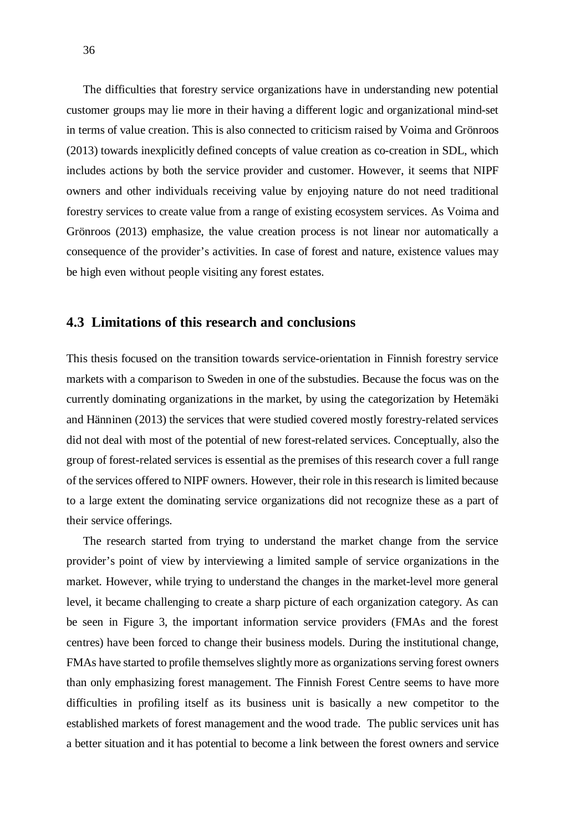The difficulties that forestry service organizations have in understanding new potential customer groups may lie more in their having a different logic and organizational mind-set in terms of value creation. This is also connected to criticism raised by Voima and Grönroos (2013) towards inexplicitly defined concepts of value creation as co-creation in SDL, which includes actions by both the service provider and customer. However, it seems that NIPF owners and other individuals receiving value by enjoying nature do not need traditional forestry services to create value from a range of existing ecosystem services. As Voima and Grönroos (2013) emphasize, the value creation process is not linear nor automatically a consequence of the provider's activities. In case of forest and nature, existence values may be high even without people visiting any forest estates.

### **4.3 Limitations of this research and conclusions**

This thesis focused on the transition towards service-orientation in Finnish forestry service markets with a comparison to Sweden in one of the substudies. Because the focus was on the currently dominating organizations in the market, by using the categorization by Hetemäki and Hänninen (2013) the services that were studied covered mostly forestry-related services did not deal with most of the potential of new forest-related services. Conceptually, also the group of forest-related services is essential as the premises of this research cover a full range of the services offered to NIPF owners. However, their role in this research is limited because to a large extent the dominating service organizations did not recognize these as a part of their service offerings.

The research started from trying to understand the market change from the service provider's point of view by interviewing a limited sample of service organizations in the market. However, while trying to understand the changes in the market-level more general level, it became challenging to create a sharp picture of each organization category. As can be seen in Figure 3, the important information service providers (FMAs and the forest centres) have been forced to change their business models. During the institutional change, FMAs have started to profile themselves slightly more as organizations serving forest owners than only emphasizing forest management. The Finnish Forest Centre seems to have more difficulties in profiling itself as its business unit is basically a new competitor to the established markets of forest management and the wood trade. The public services unit has a better situation and it has potential to become a link between the forest owners and service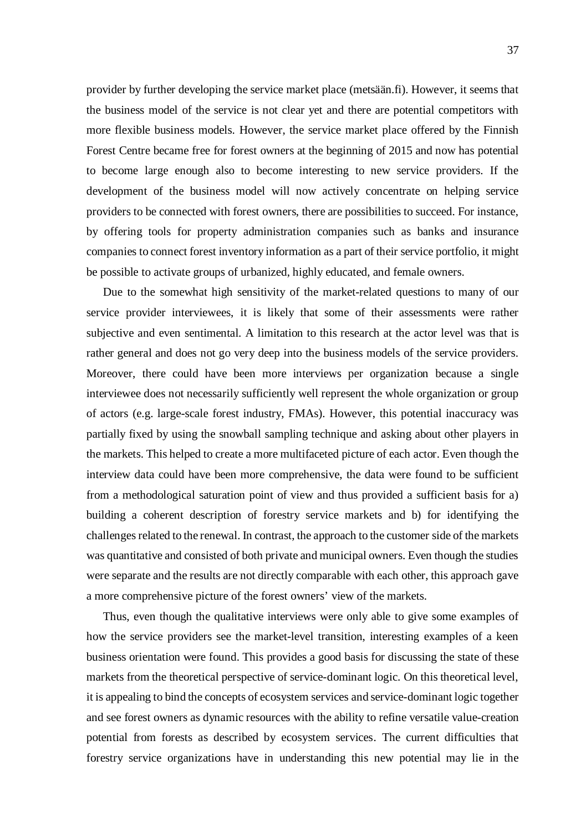provider by further developing the service market place (metsään.fi). However, it seems that the business model of the service is not clear yet and there are potential competitors with more flexible business models. However, the service market place offered by the Finnish Forest Centre became free for forest owners at the beginning of 2015 and now has potential to become large enough also to become interesting to new service providers. If the development of the business model will now actively concentrate on helping service providers to be connected with forest owners, there are possibilities to succeed. For instance, by offering tools for property administration companies such as banks and insurance companies to connect forest inventory information as a part of their service portfolio, it might be possible to activate groups of urbanized, highly educated, and female owners.

Due to the somewhat high sensitivity of the market-related questions to many of our service provider interviewees, it is likely that some of their assessments were rather subjective and even sentimental. A limitation to this research at the actor level was that is rather general and does not go very deep into the business models of the service providers. Moreover, there could have been more interviews per organization because a single interviewee does not necessarily sufficiently well represent the whole organization or group of actors (e.g. large-scale forest industry, FMAs). However, this potential inaccuracy was partially fixed by using the snowball sampling technique and asking about other players in the markets. This helped to create a more multifaceted picture of each actor. Even though the interview data could have been more comprehensive, the data were found to be sufficient from a methodological saturation point of view and thus provided a sufficient basis for a) building a coherent description of forestry service markets and b) for identifying the challenges related to the renewal. In contrast, the approach to the customer side of the markets was quantitative and consisted of both private and municipal owners. Even though the studies were separate and the results are not directly comparable with each other, this approach gave a more comprehensive picture of the forest owners' view of the markets.

Thus, even though the qualitative interviews were only able to give some examples of how the service providers see the market-level transition, interesting examples of a keen business orientation were found. This provides a good basis for discussing the state of these markets from the theoretical perspective of service-dominant logic. On this theoretical level, it is appealing to bind the concepts of ecosystem services and service-dominant logic together and see forest owners as dynamic resources with the ability to refine versatile value-creation potential from forests as described by ecosystem services. The current difficulties that forestry service organizations have in understanding this new potential may lie in the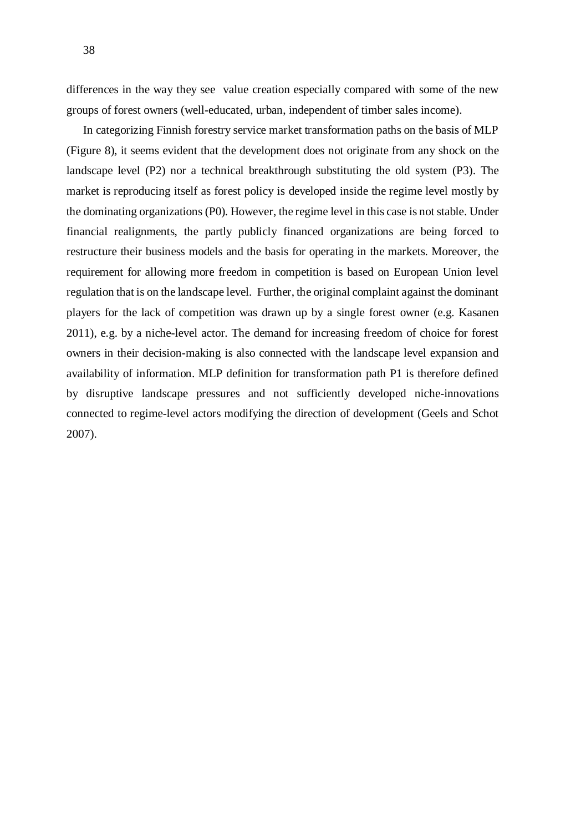differences in the way they see value creation especially compared with some of the new groups of forest owners (well-educated, urban, independent of timber sales income).

In categorizing Finnish forestry service market transformation paths on the basis of MLP (Figure 8), it seems evident that the development does not originate from any shock on the landscape level (P2) nor a technical breakthrough substituting the old system (P3). The market is reproducing itself as forest policy is developed inside the regime level mostly by the dominating organizations (P0). However, the regime level in this case is not stable. Under financial realignments, the partly publicly financed organizations are being forced to restructure their business models and the basis for operating in the markets. Moreover, the requirement for allowing more freedom in competition is based on European Union level regulation that is on the landscape level. Further, the original complaint against the dominant players for the lack of competition was drawn up by a single forest owner (e.g. Kasanen 2011), e.g. by a niche-level actor. The demand for increasing freedom of choice for forest owners in their decision-making is also connected with the landscape level expansion and availability of information. MLP definition for transformation path P1 is therefore defined by disruptive landscape pressures and not sufficiently developed niche-innovations connected to regime-level actors modifying the direction of development (Geels and Schot 2007).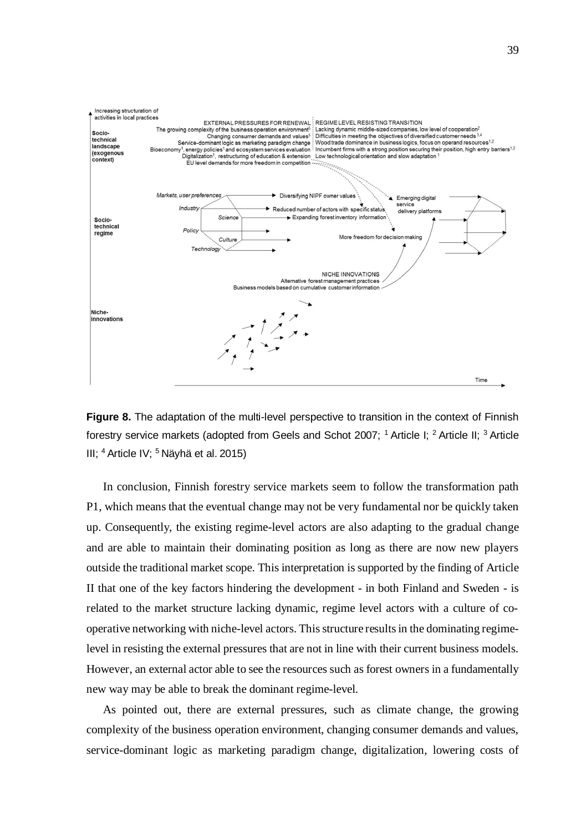



In conclusion, Finnish forestry service markets seem to follow the transformation path P1, which means that the eventual change may not be very fundamental nor be quickly taken up. Consequently, the existing regime-level actors are also adapting to the gradual change and are able to maintain their dominating position as long as there are now new players outside the traditional market scope. This interpretation is supported by the finding of Article II that one of the key factors hindering the development - in both Finland and Sweden - is related to the market structure lacking dynamic, regime level actors with a culture of cooperative networking with niche-level actors. This structure results in the dominating regimelevel in resisting the external pressures that are not in line with their current business models. However, an external actor able to see the resources such as forest owners in a fundamentally new way may be able to break the dominant regime-level.

As pointed out, there are external pressures, such as climate change, the growing complexity of the business operation environment, changing consumer demands and values, service-dominant logic as marketing paradigm change, digitalization, lowering costs of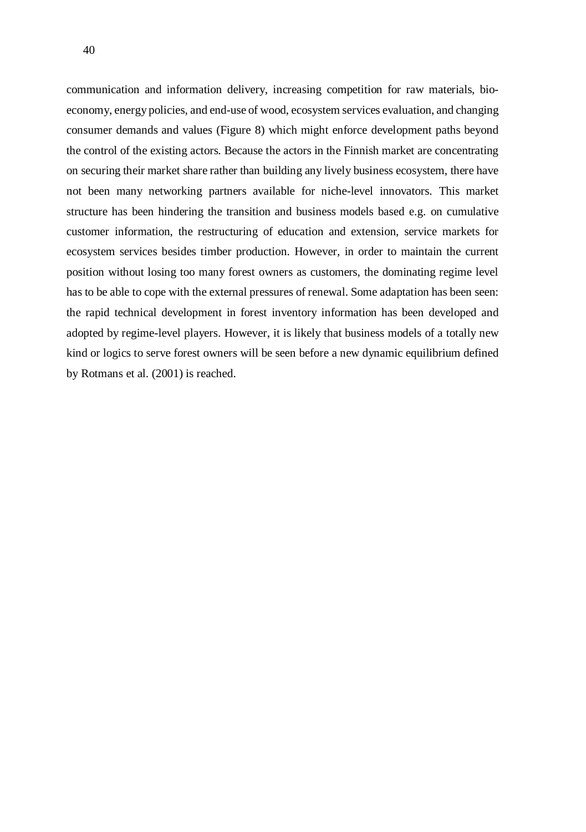communication and information delivery, increasing competition for raw materials, bioeconomy, energy policies, and end-use of wood, ecosystem services evaluation, and changing consumer demands and values (Figure 8) which might enforce development paths beyond the control of the existing actors. Because the actors in the Finnish market are concentrating on securing their market share rather than building any lively business ecosystem, there have not been many networking partners available for niche-level innovators. This market structure has been hindering the transition and business models based e.g. on cumulative customer information, the restructuring of education and extension, service markets for ecosystem services besides timber production. However, in order to maintain the current position without losing too many forest owners as customers, the dominating regime level has to be able to cope with the external pressures of renewal. Some adaptation has been seen: the rapid technical development in forest inventory information has been developed and adopted by regime-level players. However, it is likely that business models of a totally new kind or logics to serve forest owners will be seen before a new dynamic equilibrium defined by Rotmans et al. (2001) is reached.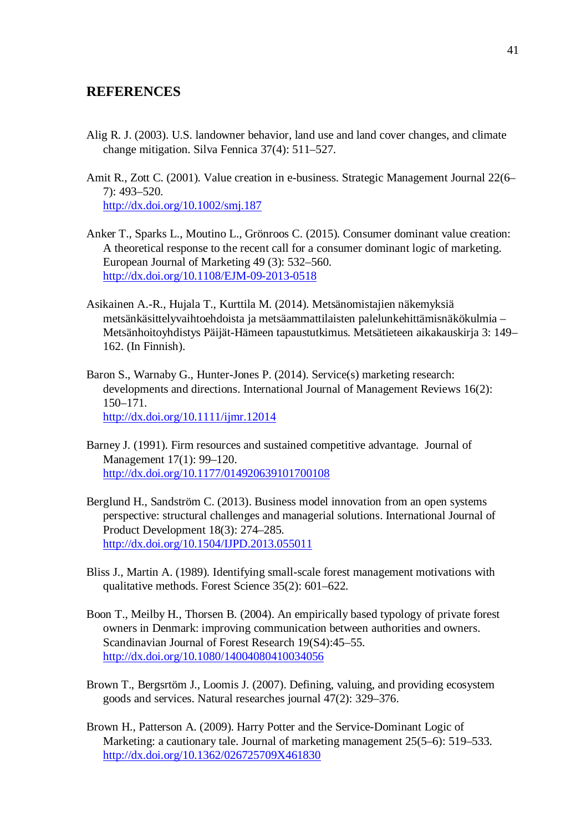### **REFERENCES**

- Alig R. J. (2003). U.S. landowner behavior, land use and land cover changes, and climate change mitigation. Silva Fennica 37(4): 511–527.
- Amit R., Zott C. (2001). Value creation in e-business. Strategic Management Journal 22(6– 7): 493–520. http://dx.doi.org/10.1002/smj.187
- Anker T., Sparks L., Moutino L., Grönroos C. (2015). Consumer dominant value creation: A theoretical response to the recent call for a consumer dominant logic of marketing. European Journal of Marketing 49 (3): 532–560. http://dx.doi.org/10.1108/EJM-09-2013-0518
- Asikainen A.-R., Hujala T., Kurttila M. (2014). Metsänomistajien näkemyksiä metsänkäsittelyvaihtoehdoista ja metsäammattilaisten palelunkehittämisnäkökulmia – Metsänhoitoyhdistys Päijät-Hämeen tapaustutkimus. Metsätieteen aikakauskirja 3: 149– 162. (In Finnish).
- Baron S., Warnaby G., Hunter-Jones P. (2014). Service(s) marketing research: developments and directions. International Journal of Management Reviews 16(2): 150–171. http://dx.doi.org/10.1111/ijmr.12014
- Barney J. (1991). Firm resources and sustained competitive advantage. Journal of Management 17(1): 99–120. http://dx.doi.org/10.1177/014920639101700108
- Berglund H., Sandström C. (2013). Business model innovation from an open systems perspective: structural challenges and managerial solutions. International Journal of Product Development 18(3): 274–285. http://dx.doi.org/10.1504/IJPD.2013.055011
- Bliss J., Martin A. (1989). Identifying small-scale forest management motivations with qualitative methods. Forest Science 35(2): 601–622.
- Boon T., Meilby H., Thorsen B. (2004). An empirically based typology of private forest owners in Denmark: improving communication between authorities and owners. Scandinavian Journal of Forest Research 19(S4):45–55. http://dx.doi.org/10.1080/14004080410034056
- Brown T., Bergsrtöm J., Loomis J. (2007). Defining, valuing, and providing ecosystem goods and services. Natural researches journal 47(2): 329–376.
- Brown H., Patterson A. (2009). Harry Potter and the Service-Dominant Logic of Marketing: a cautionary tale. Journal of marketing management 25(5–6): 519–533. http://dx.doi.org/10.1362/026725709X461830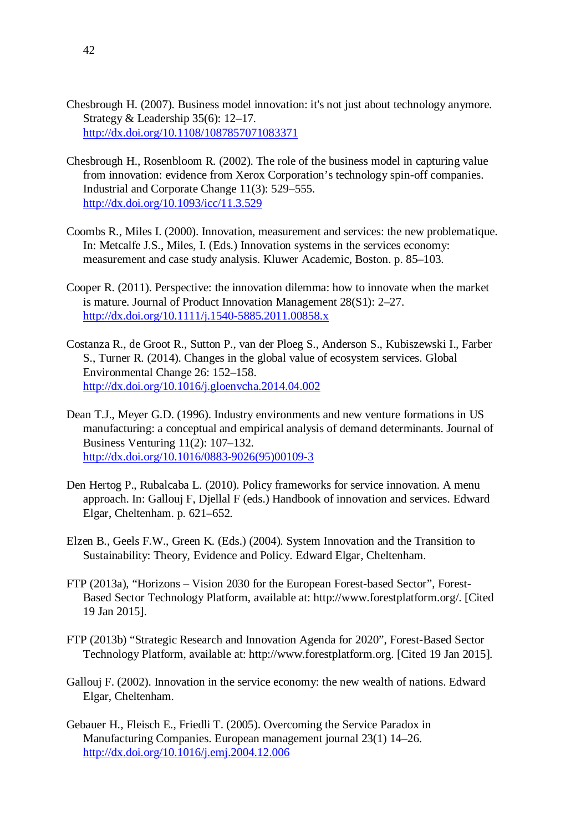- Chesbrough H. (2007). Business model innovation: it's not just about technology anymore. Strategy & Leadership 35(6): 12–17. http://dx.doi.org/10.1108/1087857071083371
- Chesbrough H., Rosenbloom R. (2002). The role of the business model in capturing value from innovation: evidence from Xerox Corporation's technology spin-off companies. Industrial and Corporate Change 11(3): 529–555. http://dx.doi.org/10.1093/icc/11.3.529
- Coombs R., Miles I. (2000). Innovation, measurement and services: the new problematique. In: Metcalfe J.S., Miles, I. (Eds.) Innovation systems in the services economy: measurement and case study analysis. Kluwer Academic, Boston. p. 85–103.
- Cooper R. (2011). Perspective: the innovation dilemma: how to innovate when the market is mature. Journal of Product Innovation Management 28(S1): 2–27. http://dx.doi.org/10.1111/j.1540-5885.2011.00858.x
- Costanza R., de Groot R., Sutton P., van der Ploeg S., Anderson S., Kubiszewski I., Farber S., Turner R. (2014). Changes in the global value of ecosystem services. Global Environmental Change 26: 152–158. http://dx.doi.org/10.1016/j.gloenvcha.2014.04.002
- Dean T.J., Meyer G.D. (1996). Industry environments and new venture formations in US manufacturing: a conceptual and empirical analysis of demand determinants. Journal of Business Venturing 11(2): 107–132. http://dx.doi.org/10.1016/0883-9026(95)00109-3
- Den Hertog P., Rubalcaba L. (2010). Policy frameworks for service innovation. A menu approach. In: Gallouj F, Djellal F (eds.) Handbook of innovation and services. Edward Elgar, Cheltenham. p. 621–652.
- Elzen B., Geels F.W., Green K. (Eds.) (2004). System Innovation and the Transition to Sustainability: Theory, Evidence and Policy. Edward Elgar, Cheltenham.
- FTP (2013a), "Horizons Vision 2030 for the European Forest-based Sector", Forest-Based Sector Technology Platform, available at: http://www.forestplatform.org/. [Cited 19 Jan 2015].
- FTP (2013b) "Strategic Research and Innovation Agenda for 2020", Forest-Based Sector Technology Platform, available at: http://www.forestplatform.org. [Cited 19 Jan 2015].
- Gallouj F. (2002). Innovation in the service economy: the new wealth of nations. Edward Elgar, Cheltenham.
- Gebauer H., Fleisch E., Friedli T. (2005). Overcoming the Service Paradox in Manufacturing Companies. European management journal 23(1) 14–26. http://dx.doi.org/10.1016/j.emj.2004.12.006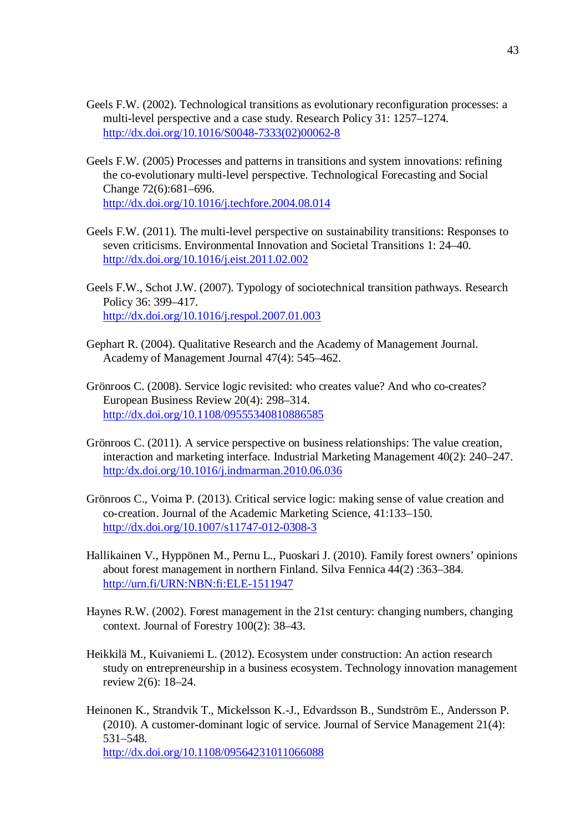- Geels F.W. (2002). Technological transitions as evolutionary reconfiguration processes: a multi-level perspective and a case study. Research Policy 31: 1257–1274. http://dx.doi.org/10.1016/S0048-7333(02)00062-8
- Geels F.W. (2005) Processes and patterns in transitions and system innovations: refining the co-evolutionary multi-level perspective. Technological Forecasting and Social Change 72(6):681–696. http://dx.doi.org/10.1016/j.techfore.2004.08.014
- Geels F.W. (2011). The multi-level perspective on sustainability transitions: Responses to seven criticisms. Environmental Innovation and Societal Transitions 1: 24–40. http://dx.doi.org/10.1016/j.eist.2011.02.002
- Geels F.W., Schot J.W. (2007). Typology of sociotechnical transition pathways. Research Policy 36: 399–417. http://dx.doi.org/10.1016/j.respol.2007.01.003
- Gephart R. (2004). Qualitative Research and the Academy of Management Journal. Academy of Management Journal 47(4): 545–462.
- Grönroos C. (2008). Service logic revisited: who creates value? And who co-creates? European Business Review 20(4): 298–314. http://dx.doi.org/10.1108/09555340810886585
- Grönroos C. (2011). A service perspective on business relationships: The value creation, interaction and marketing interface. Industrial Marketing Management 40(2): 240–247. http:/dx.doi.org/10.1016/j.indmarman.2010.06.036
- Grönroos C., Voima P. (2013). Critical service logic: making sense of value creation and co-creation. Journal of the Academic Marketing Science, 41:133–150. http://dx.doi.org/10.1007/s11747-012-0308-3
- Hallikainen V., Hyppönen M., Pernu L., Puoskari J. (2010). Family forest owners' opinions about forest management in northern Finland. Silva Fennica 44(2) :363–384. http://urn.fi/URN:NBN:fi:ELE-1511947
- Haynes R.W. (2002). Forest management in the 21st century: changing numbers, changing context. Journal of Forestry 100(2): 38–43.
- Heikkilä M., Kuivaniemi L. (2012). Ecosystem under construction: An action research study on entrepreneurship in a business ecosystem. Technology innovation management review 2(6): 18–24.
- Heinonen K., Strandvik T., Mickelsson K.-J., Edvardsson B., Sundström E., Andersson P. (2010). A customer-dominant logic of service. Journal of Service Management 21(4): 531–548. http://dx.doi.org/10.1108/09564231011066088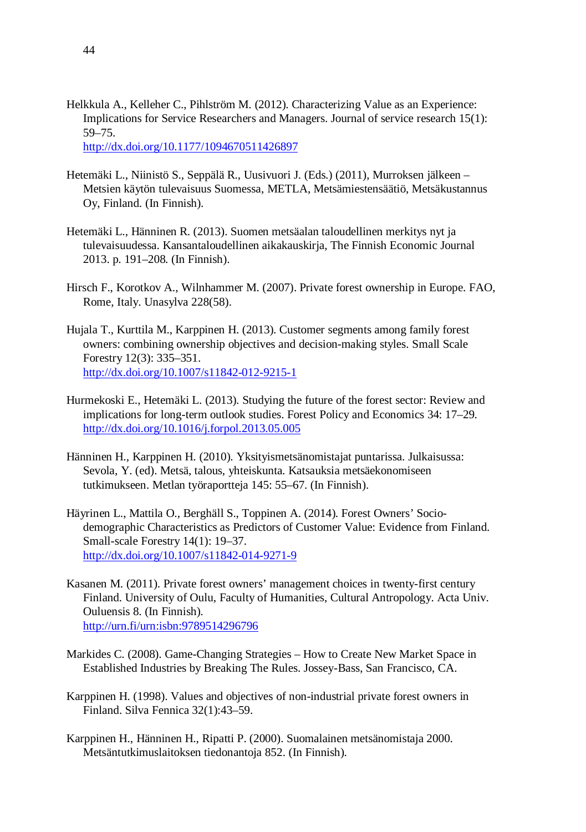- Helkkula A., Kelleher C., Pihlström M. (2012). Characterizing Value as an Experience: Implications for Service Researchers and Managers. Journal of service research 15(1): 59–75. http://dx.doi.org/10.1177/1094670511426897
- Hetemäki L., Niinistö S., Seppälä R., Uusivuori J. (Eds.) (2011), Murroksen jälkeen Metsien käytön tulevaisuus Suomessa, METLA, Metsämiestensäätiö, Metsäkustannus Oy, Finland. (In Finnish).
- Hetemäki L., Hänninen R. (2013). Suomen metsäalan taloudellinen merkitys nyt ja tulevaisuudessa. Kansantaloudellinen aikakauskirja, The Finnish Economic Journal 2013. p. 191–208. (In Finnish).
- Hirsch F., Korotkov A., Wilnhammer M. (2007). Private forest ownership in Europe. FAO, Rome, Italy. Unasylva 228(58).
- Hujala T., Kurttila M., Karppinen H. (2013). Customer segments among family forest owners: combining ownership objectives and decision-making styles. Small Scale Forestry 12(3): 335–351. http://dx.doi.org/10.1007/s11842-012-9215-1
- Hurmekoski E., Hetemäki L. (2013). Studying the future of the forest sector: Review and implications for long-term outlook studies. Forest Policy and Economics 34: 17–29. http://dx.doi.org/10.1016/j.forpol.2013.05.005
- Hänninen H., Karppinen H. (2010). Yksityismetsänomistajat puntarissa. Julkaisussa: Sevola, Y. (ed). Metsä, talous, yhteiskunta. Katsauksia metsäekonomiseen tutkimukseen. Metlan työraportteja 145: 55–67. (In Finnish).
- Häyrinen L., Mattila O., Berghäll S., Toppinen A. (2014). Forest Owners' Sociodemographic Characteristics as Predictors of Customer Value: Evidence from Finland. Small-scale Forestry 14(1): 19–37. http://dx.doi.org/10.1007/s11842-014-9271-9
- Kasanen M. (2011). Private forest owners' management choices in twenty-first century Finland. University of Oulu, Faculty of Humanities, Cultural Antropology. Acta Univ. Ouluensis 8. (In Finnish). http://urn.fi/urn:isbn:9789514296796
- Markides C. (2008). Game-Changing Strategies How to Create New Market Space in Established Industries by Breaking The Rules. Jossey-Bass, San Francisco, CA.
- Karppinen H. (1998). Values and objectives of non-industrial private forest owners in Finland. Silva Fennica 32(1):43–59.
- Karppinen H., Hänninen H., Ripatti P. (2000). Suomalainen metsänomistaja 2000. Metsäntutkimuslaitoksen tiedonantoja 852. (In Finnish).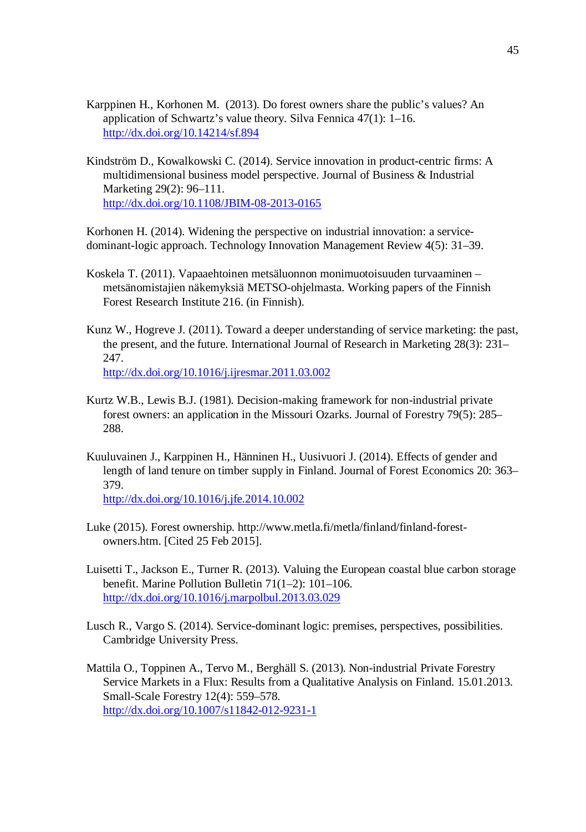- Karppinen H., Korhonen M. (2013). Do forest owners share the public's values? An application of Schwartz's value theory. Silva Fennica 47(1): 1–16. http://dx.doi.org/10.14214/sf.894
- Kindström D., Kowalkowski C. (2014). Service innovation in product-centric firms: A multidimensional business model perspective. Journal of Business & Industrial Marketing 29(2): 96–111. http://dx.doi.org/10.1108/JBIM-08-2013-0165

Korhonen H. (2014). Widening the perspective on industrial innovation: a servicedominant-logic approach. Technology Innovation Management Review 4(5): 31–39.

- Koskela T. (2011). Vapaaehtoinen metsäluonnon monimuotoisuuden turvaaminen metsänomistajien näkemyksiä METSO-ohjelmasta. Working papers of the Finnish Forest Research Institute 216. (in Finnish).
- Kunz W., Hogreve J. (2011). Toward a deeper understanding of service marketing: the past, the present, and the future. International Journal of Research in Marketing 28(3): 231– 247. http://dx.doi.org/10.1016/j.ijresmar.2011.03.002
- Kurtz W.B., Lewis B.J. (1981). Decision-making framework for non-industrial private forest owners: an application in the Missouri Ozarks. Journal of Forestry 79(5): 285– 288.
- Kuuluvainen J., Karppinen H., Hänninen H., Uusivuori J. (2014). Effects of gender and length of land tenure on timber supply in Finland. Journal of Forest Economics 20: 363– 379.

http://dx.doi.org/10.1016/j.jfe.2014.10.002

- Luke (2015). Forest ownership. http://www.metla.fi/metla/finland/finland-forestowners.htm. [Cited 25 Feb 2015].
- Luisetti T., Jackson E., Turner R. (2013). Valuing the European coastal blue carbon storage benefit. Marine Pollution Bulletin 71(1–2): 101–106. http://dx.doi.org/10.1016/j.marpolbul.2013.03.029
- Lusch R., Vargo S. (2014). Service-dominant logic: premises, perspectives, possibilities. Cambridge University Press.
- Mattila O., Toppinen A., Tervo M., Berghäll S. (2013). Non-industrial Private Forestry Service Markets in a Flux: Results from a Qualitative Analysis on Finland. 15.01.2013. Small-Scale Forestry 12(4): 559–578. http://dx.doi.org/10.1007/s11842-012-9231-1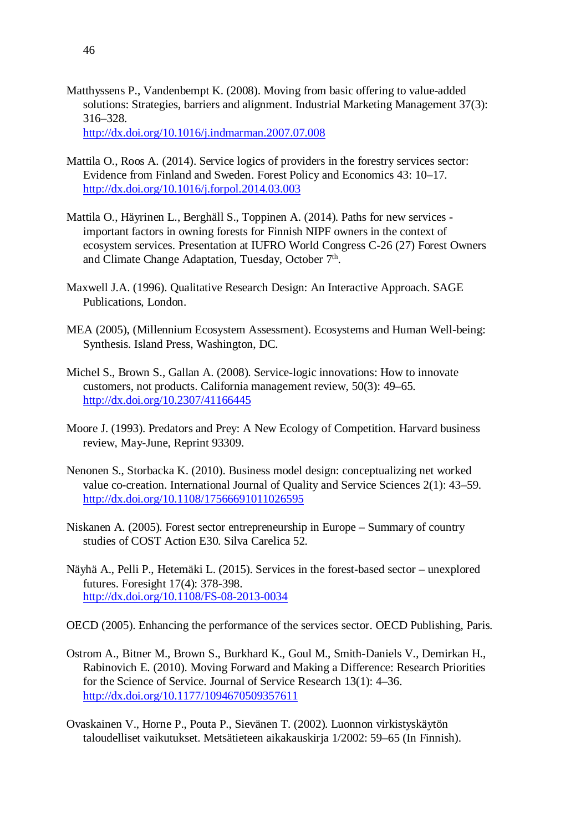Matthyssens P., Vandenbempt K. (2008). Moving from basic offering to value-added solutions: Strategies, barriers and alignment. Industrial Marketing Management 37(3): 316–328.

http://dx.doi.org/10.1016/j.indmarman.2007.07.008

- Mattila O., Roos A. (2014). Service logics of providers in the forestry services sector: Evidence from Finland and Sweden. Forest Policy and Economics 43: 10–17. http://dx.doi.org/10.1016/j.forpol.2014.03.003
- Mattila O., Häyrinen L., Berghäll S., Toppinen A. (2014). Paths for new services important factors in owning forests for Finnish NIPF owners in the context of ecosystem services. Presentation at IUFRO World Congress C-26 (27) Forest Owners and Climate Change Adaptation, Tuesday, October 7<sup>th</sup>.
- Maxwell J.A. (1996). Qualitative Research Design: An Interactive Approach. SAGE Publications, London.
- MEA (2005), (Millennium Ecosystem Assessment). Ecosystems and Human Well-being: Synthesis. Island Press, Washington, DC.
- Michel S., Brown S., Gallan A. (2008). Service-logic innovations: How to innovate customers, not products. California management review, 50(3): 49–65. http://dx.doi.org/10.2307/41166445
- Moore J. (1993). Predators and Prey: A New Ecology of Competition. Harvard business review, May-June, Reprint 93309.
- Nenonen S., Storbacka K. (2010). Business model design: conceptualizing net worked value co-creation. International Journal of Quality and Service Sciences 2(1): 43–59. http://dx.doi.org/10.1108/17566691011026595
- Niskanen A. (2005). Forest sector entrepreneurship in Europe Summary of country studies of COST Action E30. Silva Carelica 52.
- Näyhä A., Pelli P., Hetemäki L. (2015). Services in the forest-based sector unexplored futures. Foresight 17(4): 378-398. http://dx.doi.org/10.1108/FS-08-2013-0034
- OECD (2005). Enhancing the performance of the services sector. OECD Publishing, Paris.
- Ostrom A., Bitner M., Brown S., Burkhard K., Goul M., Smith-Daniels V., Demirkan H., Rabinovich E. (2010). Moving Forward and Making a Difference: Research Priorities for the Science of Service. Journal of Service Research 13(1): 4–36. http://dx.doi.org/10.1177/1094670509357611
- Ovaskainen V., Horne P., Pouta P., Sievänen T. (2002). Luonnon virkistyskäytön taloudelliset vaikutukset. Metsätieteen aikakauskirja 1/2002: 59–65 (In Finnish).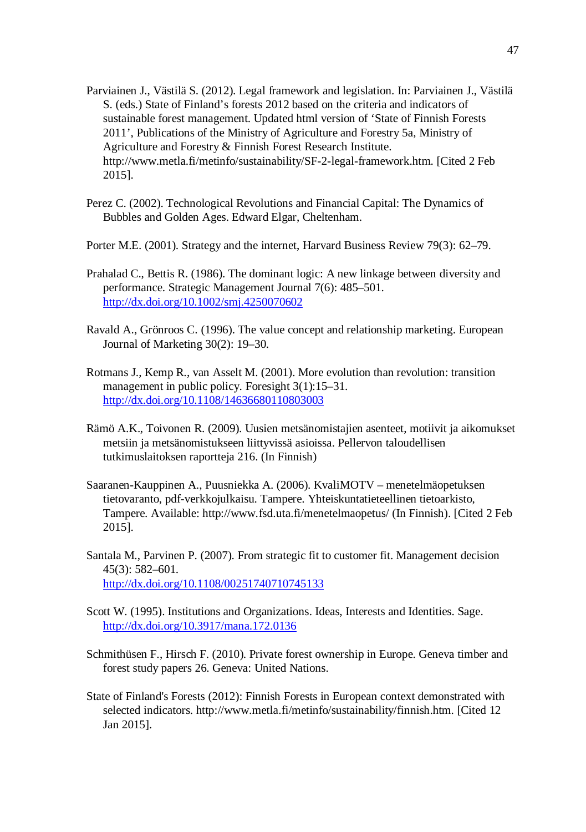- Parviainen J., Västilä S. (2012). Legal framework and legislation. In: Parviainen J., Västilä S. (eds.) State of Finland's forests 2012 based on the criteria and indicators of sustainable forest management. Updated html version of 'State of Finnish Forests 2011', Publications of the Ministry of Agriculture and Forestry 5a, Ministry of Agriculture and Forestry & Finnish Forest Research Institute. http://www.metla.fi/metinfo/sustainability/SF-2-legal-framework.htm. [Cited 2 Feb 2015].
- Perez C. (2002). Technological Revolutions and Financial Capital: The Dynamics of Bubbles and Golden Ages. Edward Elgar, Cheltenham.
- Porter M.E. (2001). Strategy and the internet, Harvard Business Review 79(3): 62–79.
- Prahalad C., Bettis R. (1986). The dominant logic: A new linkage between diversity and performance. Strategic Management Journal 7(6): 485–501. http://dx.doi.org/10.1002/smj.4250070602
- Ravald A., Grönroos C. (1996). The value concept and relationship marketing. European Journal of Marketing 30(2): 19–30.
- Rotmans J., Kemp R., van Asselt M. (2001). More evolution than revolution: transition management in public policy. Foresight  $3(1)$ : 15–31. http://dx.doi.org/10.1108/14636680110803003
- Rämö A.K., Toivonen R. (2009). Uusien metsänomistajien asenteet, motiivit ja aikomukset metsiin ja metsänomistukseen liittyvissä asioissa. Pellervon taloudellisen tutkimuslaitoksen raportteja 216. (In Finnish)
- Saaranen-Kauppinen A., Puusniekka A. (2006). KvaliMOTV menetelmäopetuksen tietovaranto, pdf-verkkojulkaisu. Tampere. Yhteiskuntatieteellinen tietoarkisto, Tampere. Available: http://www.fsd.uta.fi/menetelmaopetus/ (In Finnish). [Cited 2 Feb 2015].
- Santala M., Parvinen P. (2007). From strategic fit to customer fit. Management decision 45(3): 582–601. http://dx.doi.org/10.1108/00251740710745133
- Scott W. (1995). Institutions and Organizations. Ideas, Interests and Identities. Sage. http://dx.doi.org/10.3917/mana.172.0136
- Schmithüsen F., Hirsch F. (2010). Private forest ownership in Europe. Geneva timber and forest study papers 26. Geneva: United Nations.
- State of Finland's Forests (2012): Finnish Forests in European context demonstrated with selected indicators. http://www.metla.fi/metinfo/sustainability/finnish.htm. [Cited 12 Jan 2015].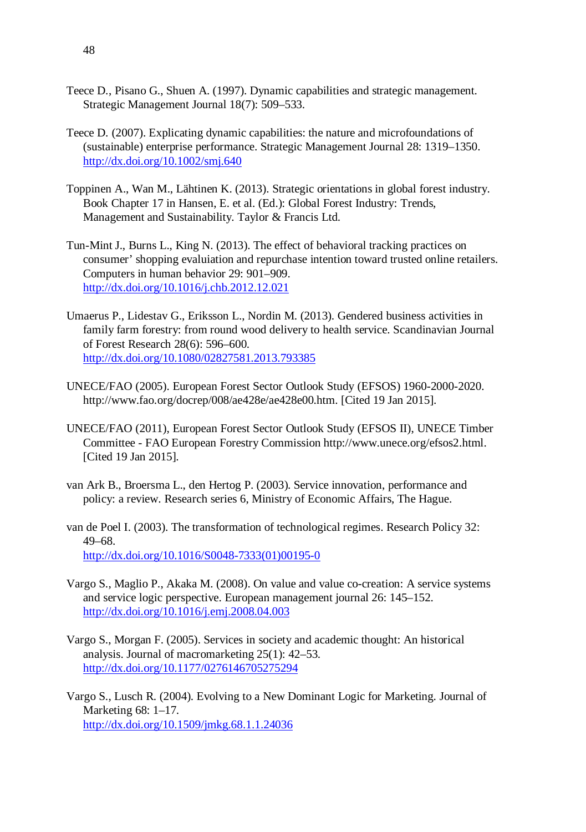- Teece D., Pisano G., Shuen A. (1997). Dynamic capabilities and strategic management. Strategic Management Journal 18(7): 509–533.
- Teece D. (2007). Explicating dynamic capabilities: the nature and microfoundations of (sustainable) enterprise performance. Strategic Management Journal 28: 1319–1350. http://dx.doi.org/10.1002/smj.640
- Toppinen A., Wan M., Lähtinen K. (2013). Strategic orientations in global forest industry. Book Chapter 17 in Hansen, E. et al. (Ed.): Global Forest Industry: Trends, Management and Sustainability. Taylor & Francis Ltd.
- Tun-Mint J., Burns L., King N. (2013). The effect of behavioral tracking practices on consumer' shopping evaluiation and repurchase intention toward trusted online retailers. Computers in human behavior 29: 901–909. http://dx.doi.org/10.1016/j.chb.2012.12.021
- Umaerus P., Lidestav G., Eriksson L., Nordin M. (2013). Gendered business activities in family farm forestry: from round wood delivery to health service. Scandinavian Journal of Forest Research 28(6): 596–600. http://dx.doi.org/10.1080/02827581.2013.793385
- UNECE/FAO (2005). European Forest Sector Outlook Study (EFSOS) 1960-2000-2020. http://www.fao.org/docrep/008/ae428e/ae428e00.htm. [Cited 19 Jan 2015].
- UNECE/FAO (2011), European Forest Sector Outlook Study (EFSOS II), UNECE Timber Committee - FAO European Forestry Commission http://www.unece.org/efsos2.html. [Cited 19 Jan 2015].
- van Ark B., Broersma L., den Hertog P. (2003). Service innovation, performance and policy: a review. Research series 6, Ministry of Economic Affairs, The Hague.
- van de Poel I. (2003). The transformation of technological regimes. Research Policy 32: 49–68. http://dx.doi.org/10.1016/S0048-7333(01)00195-0
- Vargo S., Maglio P., Akaka M. (2008). On value and value co-creation: A service systems and service logic perspective. European management journal 26: 145–152. http://dx.doi.org/10.1016/j.emj.2008.04.003
- Vargo S., Morgan F. (2005). Services in society and academic thought: An historical analysis. Journal of macromarketing 25(1): 42–53. http://dx.doi.org/10.1177/0276146705275294
- Vargo S., Lusch R. (2004). Evolving to a New Dominant Logic for Marketing. Journal of Marketing 68: 1–17. http://dx.doi.org/10.1509/jmkg.68.1.1.24036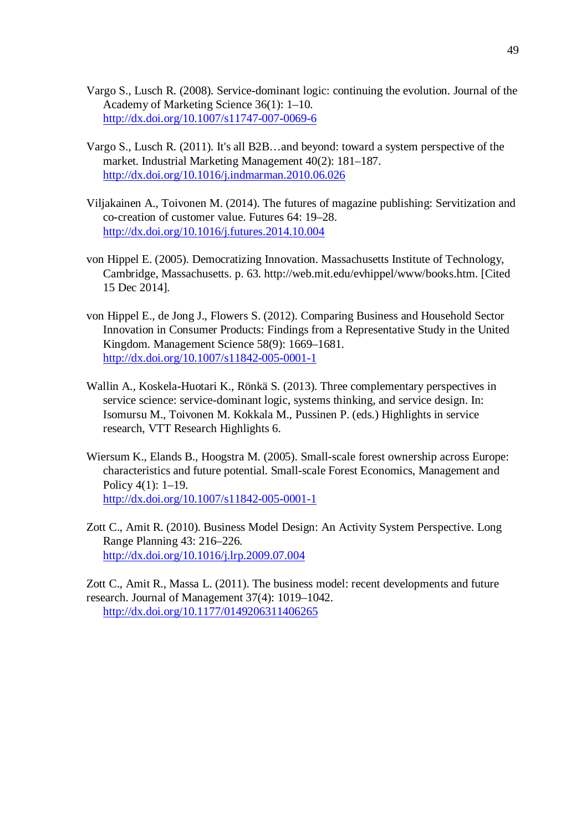- Vargo S., Lusch R. (2008). Service-dominant logic: continuing the evolution. Journal of the Academy of Marketing Science 36(1): 1–10. http://dx.doi.org/10.1007/s11747-007-0069-6
- Vargo S., Lusch R. (2011). It's all B2B…and beyond: toward a system perspective of the market. Industrial Marketing Management 40(2): 181–187. http://dx.doi.org/10.1016/j.indmarman.2010.06.026
- Viljakainen A., Toivonen M. (2014). The futures of magazine publishing: Servitization and co-creation of customer value. Futures 64: 19–28. http://dx.doi.org/10.1016/j.futures.2014.10.004
- von Hippel E. (2005). Democratizing Innovation. Massachusetts Institute of Technology, Cambridge, Massachusetts. p. 63. http://web.mit.edu/evhippel/www/books.htm. [Cited 15 Dec 2014].
- von Hippel E., de Jong J., Flowers S. (2012). Comparing Business and Household Sector Innovation in Consumer Products: Findings from a Representative Study in the United Kingdom. Management Science 58(9): 1669–1681. http://dx.doi.org/10.1007/s11842-005-0001-1
- Wallin A., Koskela-Huotari K., Rönkä S. (2013). Three complementary perspectives in service science: service-dominant logic, systems thinking, and service design. In: Isomursu M., Toivonen M. Kokkala M., Pussinen P. (eds.) Highlights in service research, VTT Research Highlights 6.
- Wiersum K., Elands B., Hoogstra M. (2005). Small-scale forest ownership across Europe: characteristics and future potential. Small-scale Forest Economics, Management and Policy 4(1): 1–19. http://dx.doi.org/10.1007/s11842-005-0001-1
- Zott C., Amit R. (2010). Business Model Design: An Activity System Perspective. Long Range Planning 43: 216–226. http://dx.doi.org/10.1016/j.lrp.2009.07.004

Zott C., Amit R., Massa L. (2011). The business model: recent developments and future research. Journal of Management 37(4): 1019–1042. http://dx.doi.org/10.1177/0149206311406265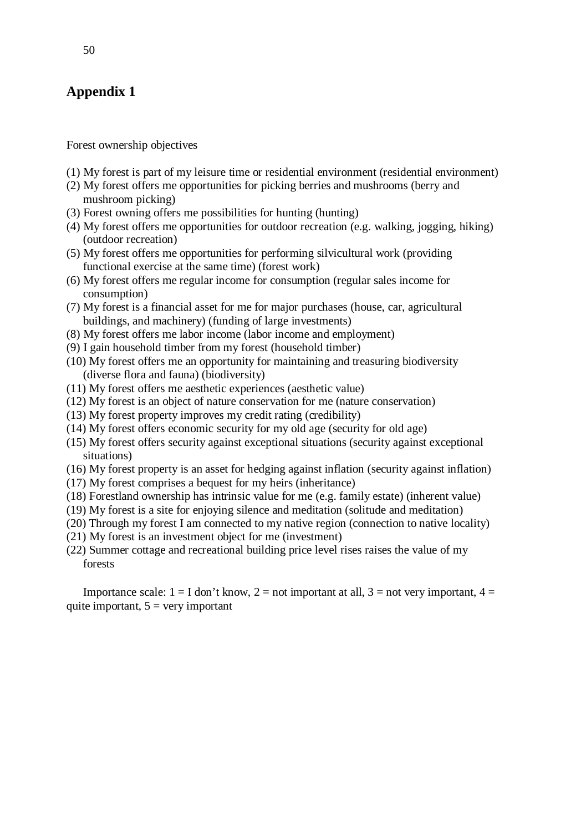## **Appendix 1**

Forest ownership objectives

- (1) My forest is part of my leisure time or residential environment (residential environment)
- (2) My forest offers me opportunities for picking berries and mushrooms (berry and mushroom picking)
- (3) Forest owning offers me possibilities for hunting (hunting)
- (4) My forest offers me opportunities for outdoor recreation (e.g. walking, jogging, hiking) (outdoor recreation)
- (5) My forest offers me opportunities for performing silvicultural work (providing functional exercise at the same time) (forest work)
- (6) My forest offers me regular income for consumption (regular sales income for consumption)
- (7) My forest is a financial asset for me for major purchases (house, car, agricultural buildings, and machinery) (funding of large investments)
- (8) My forest offers me labor income (labor income and employment)
- (9) I gain household timber from my forest (household timber)
- (10) My forest offers me an opportunity for maintaining and treasuring biodiversity (diverse flora and fauna) (biodiversity)
- (11) My forest offers me aesthetic experiences (aesthetic value)
- (12) My forest is an object of nature conservation for me (nature conservation)
- (13) My forest property improves my credit rating (credibility)
- (14) My forest offers economic security for my old age (security for old age)
- (15) My forest offers security against exceptional situations (security against exceptional situations)
- (16) My forest property is an asset for hedging against inflation (security against inflation)
- (17) My forest comprises a bequest for my heirs (inheritance)
- (18) Forestland ownership has intrinsic value for me (e.g. family estate) (inherent value)
- (19) My forest is a site for enjoying silence and meditation (solitude and meditation)
- (20) Through my forest I am connected to my native region (connection to native locality)
- (21) My forest is an investment object for me (investment)
- (22) Summer cottage and recreational building price level rises raises the value of my forests

Importance scale:  $1 = I$  don't know,  $2 =$  not important at all,  $3 =$  not very important,  $4 =$ quite important,  $5 = \text{very important}$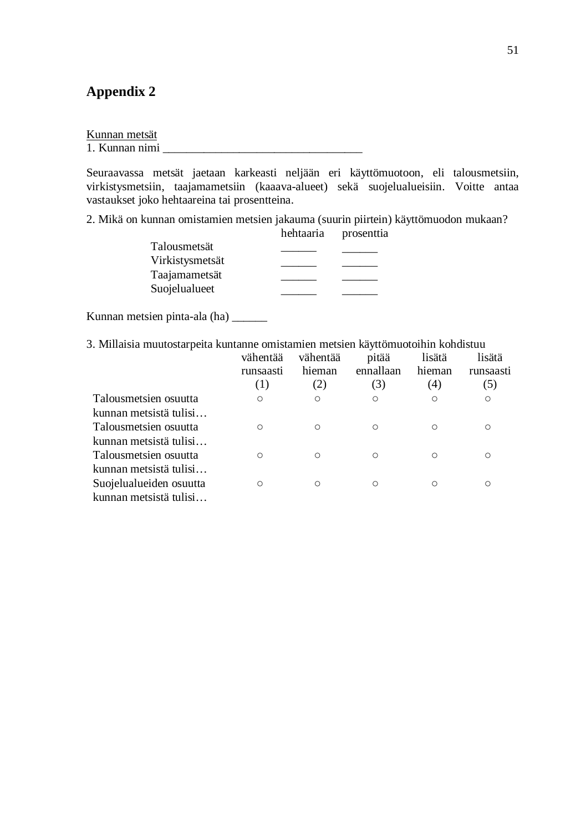## **Appendix 2**

| Kunnan metsät |  |
|---------------|--|
|               |  |

1. Kunnan nimi \_\_\_\_\_\_\_\_\_\_\_\_\_\_\_\_\_\_\_\_\_\_\_\_\_\_\_\_\_\_\_\_\_\_

Seuraavassa metsät jaetaan karkeasti neljään eri käyttömuotoon, eli talousmetsiin, virkistysmetsiin, taajamametsiin (kaaava-alueet) sekä suojelualueisiin. Voitte antaa vastaukset joko hehtaareina tai prosentteina.

2. Mikä on kunnan omistamien metsien jakauma (suurin piirtein) käyttömuodon mukaan?

| hehtaaria | prosenttia |
|-----------|------------|
|           |            |
|           |            |
|           |            |
|           |            |
|           |            |

Kunnan metsien pinta-ala (ha) \_\_\_\_\_\_

3. Millaisia muutostarpeita kuntanne omistamien metsien käyttömuotoihin kohdistuu

|                         | vähentää<br>runsaasti<br>(1) | vähentää<br>hieman<br>(2) | pitää<br>ennallaan<br>(3) | lisätä<br>hieman<br>(4) | lisätä<br>runsaasti<br>(5) |
|-------------------------|------------------------------|---------------------------|---------------------------|-------------------------|----------------------------|
| Talousmetsien osuutta   | Ο                            | О                         | $\circ$                   |                         | $\circ$                    |
| kunnan metsistä tulisi  |                              |                           |                           |                         |                            |
| Talousmetsien osuutta   | Ω                            | $\bigcirc$                | Ω                         | ∩                       | Ω                          |
| kunnan metsistä tulisi  |                              |                           |                           |                         |                            |
| Talousmetsien osuutta   | Ω                            | $\bigcirc$                | Ω                         | ∩                       | Ω                          |
| kunnan metsistä tulisi  |                              |                           |                           |                         |                            |
| Suojelualueiden osuutta | Ω                            | $\bigcirc$                | Ω                         |                         | O                          |
| kunnan metsistä tulisi  |                              |                           |                           |                         |                            |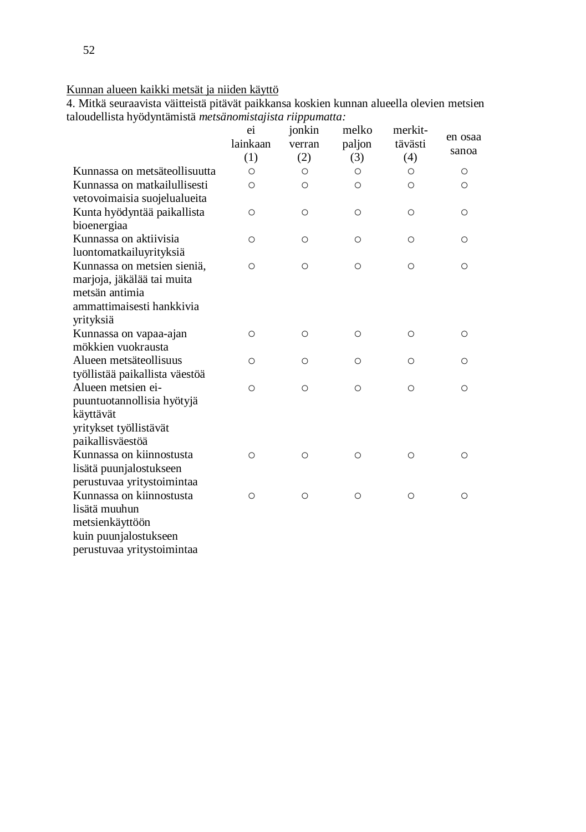## Kunnan alueen kaikki metsät ja niiden käyttö

4. Mitkä seuraavista väitteistä pitävät paikkansa koskien kunnan alueella olevien metsien taloudellista hyödyntämistä *metsänomistajista riippumatta:*

|                                | ei<br>lainkaan<br>(1) | jonkin<br>verran<br>(2) | melko<br>paljon<br>(3) | merkit-<br>tävästi<br>(4) | en osaa<br>sanoa |
|--------------------------------|-----------------------|-------------------------|------------------------|---------------------------|------------------|
| Kunnassa on metsäteollisuutta  | $\circ$               | Ο                       | Ο                      | $\circ$                   | Ο                |
| Kunnassa on matkailullisesti   | $\circ$               | $\circ$                 | Ο                      | $\circ$                   | Ο                |
| vetovoimaisia suojelualueita   |                       |                         |                        |                           |                  |
| Kunta hyödyntää paikallista    | $\circ$               | $\circ$                 | $\circ$                | $\circ$                   | Ο                |
| bioenergiaa                    |                       |                         |                        |                           |                  |
| Kunnassa on aktiivisia         | O                     | O                       | $\circ$                | Ο                         | ∩                |
| luontomatkailuyrityksiä        |                       |                         |                        |                           |                  |
| Kunnassa on metsien sieniä,    | $\circ$               | $\circ$                 | $\circ$                | $\circ$                   | Ο                |
| marjoja, jäkälää tai muita     |                       |                         |                        |                           |                  |
| metsän antimia                 |                       |                         |                        |                           |                  |
| ammattimaisesti hankkivia      |                       |                         |                        |                           |                  |
| yrityksiä                      |                       |                         |                        |                           |                  |
| Kunnassa on vapaa-ajan         | $\circ$               | O                       | $\circ$                | $\circ$                   | Ο                |
| mökkien vuokrausta             |                       |                         |                        |                           |                  |
| Alueen metsäteollisuus         | O                     | $\circ$                 | Ο                      | Ο                         | Ο                |
| työllistää paikallista väestöä |                       |                         |                        |                           |                  |
| Alueen metsien ei-             | $\circ$               | $\circ$                 | $\circ$                | $\circ$                   | Ο                |
| puuntuotannollisia hyötyjä     |                       |                         |                        |                           |                  |
| käyttävät                      |                       |                         |                        |                           |                  |
| yritykset työllistävät         |                       |                         |                        |                           |                  |
| paikallisväestöä               |                       |                         |                        |                           |                  |
| Kunnassa on kiinnostusta       | $\circ$               | $\circ$                 | $\circ$                | $\circ$                   | Ο                |
| lisätä puunjalostukseen        |                       |                         |                        |                           |                  |
| perustuvaa yritystoimintaa     |                       |                         |                        |                           |                  |
| Kunnassa on kiinnostusta       | $\circ$               | $\circ$                 | $\circ$                | $\circ$                   | Ο                |
| lisätä muuhun                  |                       |                         |                        |                           |                  |
| metsienkäyttöön                |                       |                         |                        |                           |                  |
| kuin puunjalostukseen          |                       |                         |                        |                           |                  |
| perustuvaa yritystoimintaa     |                       |                         |                        |                           |                  |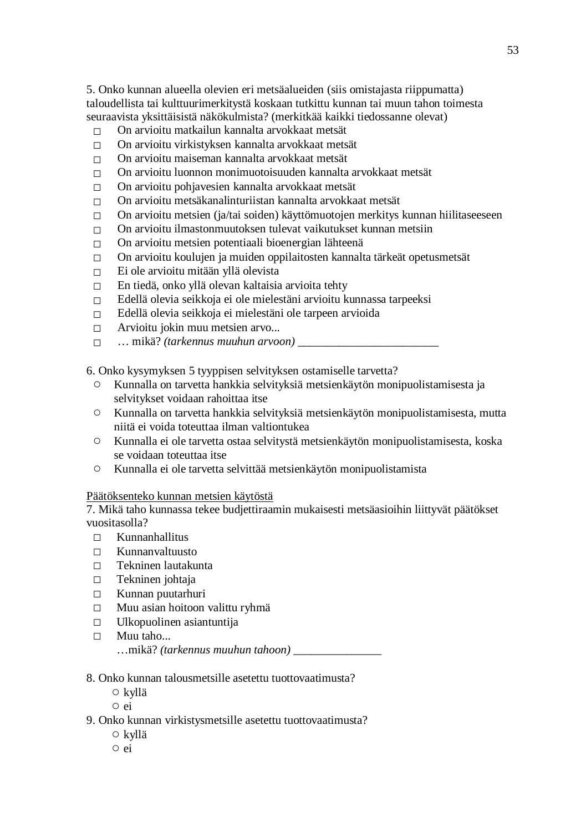5. Onko kunnan alueella olevien eri metsäalueiden (siis omistajasta riippumatta) taloudellista tai kulttuurimerkitystä koskaan tutkittu kunnan tai muun tahon toimesta seuraavista yksittäisistä näkökulmista? (merkitkää kaikki tiedossanne olevat)

- $\nabla$  On arvioitu matkailun kannalta arvokkaat metsät
- $\nabla$  On arvioitu virkistyksen kannalta arvokkaat metsät
- $\Box$  On arvioitu maiseman kannalta arvokkaat metsät
- $\nabla$  On arvioitu luonnon monimuotoisuuden kannalta arvokkaat metsät
- $\Box$  On arvioitu pohjavesien kannalta arvokkaat metsät
- □ On arvioitu metsäkanalinturiistan kannalta arvokkaat metsät
- $\Box$  On arvioitu metsien (ja/tai soiden) käyttömuotojen merkitys kunnan hiilitaseeseen
- □ On arvioitu ilmastonmuutoksen tulevat vaikutukset kunnan metsiin
- $\Box$  On arvioitu metsien potentiaali bioenergian lähteenä
- $\Box$  On arvioitu koulujen ja muiden oppilaitosten kannalta tärkeät opetusmetsät
- □ Ei ole arvioitu mitään yllä olevista
- $\Box$  En tiedä, onko yllä olevan kaltaisia arvioita tehty
- □ Edellä olevia seikkoja ei ole mielestäni arvioitu kunnassa tarpeeksi
- □ Edellä olevia seikkoja ei mielestäni ole tarpeen arvioida
- $\Box$  Arvioitu jokin muu metsien arvo...
- $\Box$   $\Box$  mikä? *(tarkennus muuhun arvoon)*

6. Onko kysymyksen 5 tyyppisen selvityksen ostamiselle tarvetta?

- Kunnalla on tarvetta hankkia selvityksiä metsienkäytön monipuolistamisesta ja selvitykset voidaan rahoittaa itse
- Kunnalla on tarvetta hankkia selvityksiä metsienkäytön monipuolistamisesta, mutta niitä ei voida toteuttaa ilman valtiontukea
- Kunnalla ei ole tarvetta ostaa selvitystä metsienkäytön monipuolistamisesta, koska se voidaan toteuttaa itse
- Kunnalla ei ole tarvetta selvittää metsienkäytön monipuolistamista

#### Päätöksenteko kunnan metsien käytöstä

7. Mikä taho kunnassa tekee budjettiraamin mukaisesti metsäasioihin liittyvät päätökset vuositasolla?

- □ Kunnanhallitus
- $\Box$  Kunnanvaltuusto
- □ Tekninen lautakunta
- □ Tekninen johtaja
- □ Kunnan puutarhuri
- □ Muu asian hoitoon valittu ryhmä
- □ Ulkopuolinen asiantuntija
- □ Muu taho...

…mikä? *(tarkennus muuhun tahoon) \_\_\_\_\_\_\_\_\_\_\_\_\_\_\_*

#### 8. Onko kunnan talousmetsille asetettu tuottovaatimusta?

- kyllä
- ei
- 9. Onko kunnan virkistysmetsille asetettu tuottovaatimusta?
	- kyllä ○ ei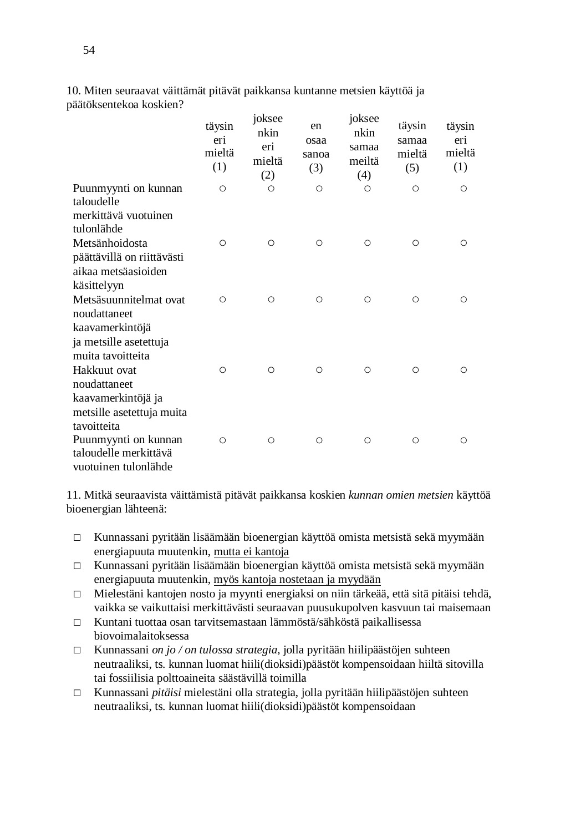|                                                                  | täysin<br>eri<br>mieltä<br>(1) | 10 <sub>ksee</sub><br>nkin<br>eri<br>mieltä<br>(2) | en<br>osaa<br>sanoa<br>(3) | 10ksee<br>nkin<br>samaa<br>meiltä<br>(4) | täysin<br>samaa<br>mieltä<br>(5) | täysin<br>eri<br>mieltä<br>(1) |
|------------------------------------------------------------------|--------------------------------|----------------------------------------------------|----------------------------|------------------------------------------|----------------------------------|--------------------------------|
| Puunmyynti on kunnan<br>taloudelle                               | O                              | $\circ$                                            | $\circ$                    | O                                        | $\circ$                          | $\circ$                        |
| merkittävä vuotuinen<br>tulonlähde                               |                                |                                                    |                            |                                          |                                  |                                |
| Metsänhoidosta                                                   | $\circ$                        | $\circ$                                            | $\circ$                    | $\circ$                                  | $\circ$                          | $\circ$                        |
| päättävillä on riittävästi<br>aikaa metsäasioiden<br>käsittelyyn |                                |                                                    |                            |                                          |                                  |                                |
| Metsäsuunnitelmat ovat<br>noudattaneet                           | O                              | $\circ$                                            | $\circ$                    | $\circ$                                  | $\circ$                          | $\circ$                        |
| kaavamerkintöjä                                                  |                                |                                                    |                            |                                          |                                  |                                |
| ja metsille asetettuja<br>muita tavoitteita                      |                                |                                                    |                            |                                          |                                  |                                |
| Hakkuut ovat<br>noudattaneet                                     | $\circ$                        | $\circ$                                            | $\circ$                    | $\circ$                                  | $\circ$                          | $\circ$                        |
| kaavamerkintöjä ja                                               |                                |                                                    |                            |                                          |                                  |                                |
| metsille asetettuja muita<br>tavoitteita                         |                                |                                                    |                            |                                          |                                  |                                |
| Puunmyynti on kunnan                                             | $\circ$                        | $\circ$                                            | $\circ$                    | $\circ$                                  | $\circ$                          | $\circ$                        |
| taloudelle merkittävä<br>vuotuinen tulonlähde                    |                                |                                                    |                            |                                          |                                  |                                |

10. Miten seuraavat väittämät pitävät paikkansa kuntanne metsien käyttöä ja päätöksentekoa koskien?  $\ddot{\cdot}$  $\cdot$  is an

11. Mitkä seuraavista väittämistä pitävät paikkansa koskien *kunnan omien metsien* käyttöä bioenergian lähteenä:

- □ Kunnassani pyritään lisäämään bioenergian käyttöä omista metsistä sekä myymään energiapuuta muutenkin, mutta ei kantoja
- $\Box$  Kunnassani pyritään lisäämään bioenergian käyttöä omista metsistä sekä myymään energiapuuta muutenkin, myös kantoja nostetaan ja myydään
- □ Mielestäni kantojen nosto ja myynti energiaksi on niin tärkeää, että sitä pitäisi tehdä, vaikka se vaikuttaisi merkittävästi seuraavan puusukupolven kasvuun tai maisemaan
- □ Kuntani tuottaa osan tarvitsemastaan lämmöstä/sähköstä paikallisessa biovoimalaitoksessa
- □ Kunnassani *on jo / on tulossa strategia,* jolla pyritään hiilipäästöjen suhteen neutraaliksi, ts. kunnan luomat hiili(dioksidi)päästöt kompensoidaan hiiltä sitovilla tai fossiilisia polttoaineita säästävillä toimilla
- □ Kunnassani *pitäisi* mielestäni olla strategia, jolla pyritään hiilipäästöjen suhteen neutraaliksi, ts. kunnan luomat hiili(dioksidi)päästöt kompensoidaan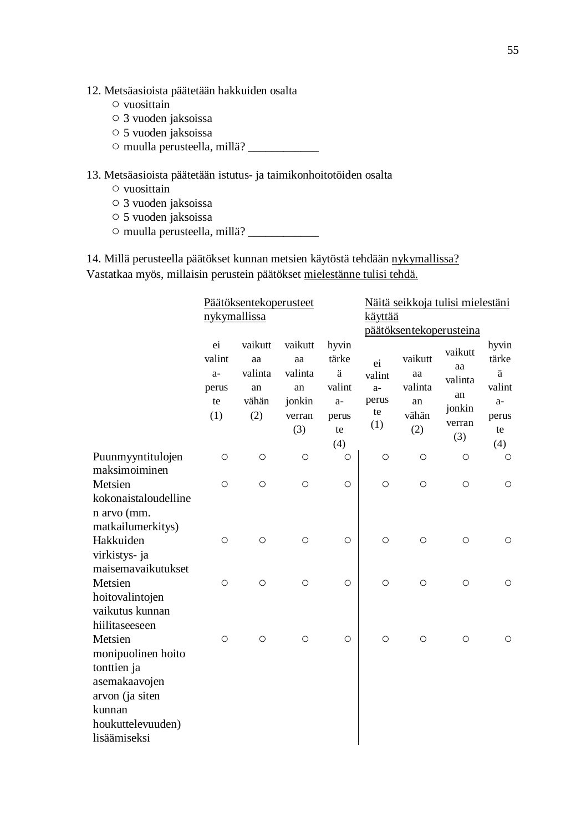- 12. Metsäasioista päätetään hakkuiden osalta
	- vuosittain
	- 3 vuoden jaksoissa
	- 5 vuoden jaksoissa
	- muulla perusteella, millä? \_\_\_\_\_\_\_\_\_\_\_\_

13. Metsäasioista päätetään istutus- ja taimikonhoitotöiden osalta

- vuosittain
- 3 vuoden jaksoissa
- 5 vuoden jaksoissa
- muulla perusteella, millä? \_\_\_\_\_\_\_\_\_\_\_\_

14. Millä perusteella päätökset kunnan metsien käytöstä tehdään nykymallissa? Vastatkaa myös, millaisin perustein päätökset mielestänne tulisi tehdä.

|                                                                                                | Päätöksentekoperusteet                     |                                                |                                                           |                                                             | Näitä seikkoja tulisi mielestäni           |                                                |                                                           |                                                             |  |
|------------------------------------------------------------------------------------------------|--------------------------------------------|------------------------------------------------|-----------------------------------------------------------|-------------------------------------------------------------|--------------------------------------------|------------------------------------------------|-----------------------------------------------------------|-------------------------------------------------------------|--|
|                                                                                                | nykymallissa                               |                                                |                                                           |                                                             | <u>käyttää</u>                             |                                                |                                                           |                                                             |  |
|                                                                                                |                                            |                                                |                                                           |                                                             | päätöksentekoperusteina                    |                                                |                                                           |                                                             |  |
|                                                                                                | ei<br>valint<br>$a-$<br>perus<br>te<br>(1) | vaikutt<br>aa<br>valinta<br>an<br>vähän<br>(2) | vaikutt<br>aa<br>valinta<br>an<br>jonkin<br>verran<br>(3) | hyvin<br>tärke<br>ä<br>valint<br>$a-$<br>perus<br>te<br>(4) | ei<br>valint<br>$a-$<br>perus<br>te<br>(1) | vaikutt<br>aa<br>valinta<br>an<br>vähän<br>(2) | vaikutt<br>aa<br>valinta<br>an<br>jonkin<br>verran<br>(3) | hyvin<br>tärke<br>ä<br>valint<br>$a-$<br>perus<br>te<br>(4) |  |
| Puunmyyntitulojen<br>maksimoiminen                                                             | $\circ$                                    | $\circ$                                        | $\circ$                                                   | $\circ$                                                     | $\circ$                                    | $\circ$                                        | $\circ$                                                   | $\circ$                                                     |  |
| Metsien<br>kokonaistaloudelline                                                                | $\circ$                                    | $\circ$                                        | $\circ$                                                   | $\circ$                                                     | $\circ$                                    | $\circ$                                        | $\circ$                                                   | O                                                           |  |
| n arvo (mm.<br>matkailumerkitys)<br>Hakkuiden<br>virkistys- ja                                 | $\circ$                                    | $\circ$                                        | $\circ$                                                   | $\circ$                                                     | $\circ$                                    | $\circ$                                        | $\circ$                                                   | $\circ$                                                     |  |
| maisemavaikutukset<br>Metsien<br>hoitovalintojen                                               | $\circ$                                    | $\circ$                                        | $\circ$                                                   | $\circ$                                                     | $\circ$                                    | $\circ$                                        | $\circ$                                                   | $\circ$                                                     |  |
| vaikutus kunnan<br>hiilitaseeseen<br>Metsien<br>monipuolinen hoito                             | O                                          | $\circ$                                        | $\circ$                                                   | $\circ$                                                     | $\circ$                                    | $\circ$                                        | $\circ$                                                   | Ο                                                           |  |
| tonttien ja<br>asemakaavojen<br>arvon (ja siten<br>kunnan<br>houkuttelevuuden)<br>lisäämiseksi |                                            |                                                |                                                           |                                                             |                                            |                                                |                                                           |                                                             |  |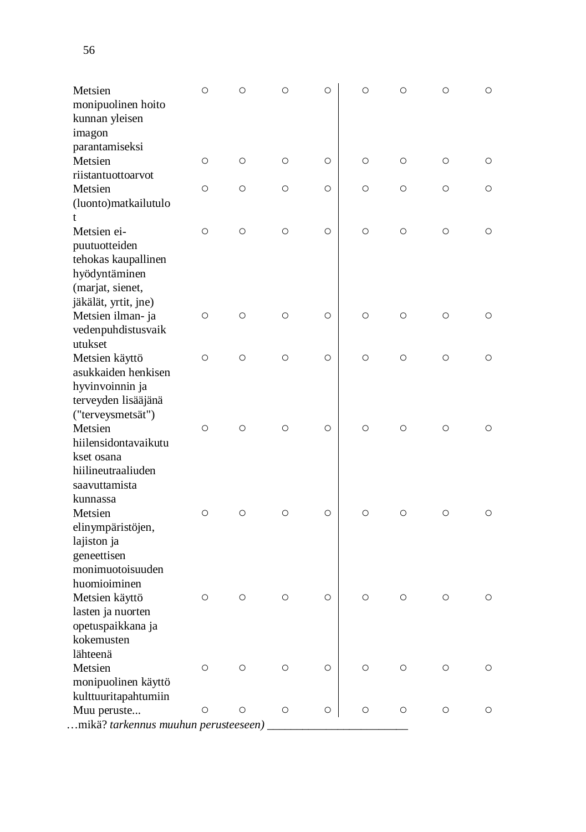| monipuolinen hoito                                                                       |            |         |            |         |            |            |         |            |
|------------------------------------------------------------------------------------------|------------|---------|------------|---------|------------|------------|---------|------------|
| kunnan yleisen<br>imagon                                                                 |            |         |            |         |            |            |         |            |
| parantamiseksi<br>Metsien                                                                | $\bigcirc$ | $\circ$ | $\circ$    | $\circ$ | $\circ$    | $\circ$    | $\circ$ | $\bigcirc$ |
| riistantuottoarvot                                                                       |            |         |            |         |            |            |         |            |
| Metsien                                                                                  | $\circ$    | $\circ$ | $\circ$    | $\circ$ | $\circ$    | $\circ$    | $\circ$ | $\circ$    |
| (luonto)matkailutulo<br>t                                                                |            |         |            |         |            |            |         |            |
| Metsien ei-<br>puutuotteiden<br>tehokas kaupallinen<br>hyödyntäminen<br>(marjat, sienet, | $\bigcirc$ | $\circ$ | $\circ$    | $\circ$ | $\circ$    | $\bigcirc$ | $\circ$ | $\circ$    |
| jäkälät, yrtit, jne)<br>Metsien ilman- ja<br>vedenpuhdistusvaik<br>utukset               | $\bigcirc$ | $\circ$ | $\circ$    | $\circ$ | $\circ$    | $\circ$    | $\circ$ | $\circ$    |
| Metsien käyttö<br>asukkaiden henkisen                                                    | $\bigcirc$ | $\circ$ | $\circ$    | $\circ$ | $\circ$    | $\circ$    | $\circ$ | $\circ$    |
| hyvinvoinnin ja<br>terveyden lisääjänä<br>("terveysmetsät")<br>Metsien                   | $\bigcirc$ | $\circ$ | $\circ$    | $\circ$ | $\circ$    | $\circ$    | $\circ$ | $\bigcirc$ |
| hiilensidontavaikutu<br>kset osana<br>hiilineutraaliuden<br>saavuttamista                |            |         |            |         |            |            |         |            |
| kunnassa<br>Metsien<br>elinympäristöjen,                                                 | $\bigcirc$ | О       | $\circ$    | $\circ$ | $\circ$    | $\circ$    | $\circ$ | $\bigcirc$ |
| lajiston ja<br>geneettisen<br>monimuotoisuuden                                           |            |         |            |         |            |            |         |            |
| huomioiminen<br>Metsien käyttö<br>lasten ja nuorten                                      | О          | O       | $\circ$    | $\circ$ | $\circ$    | $\circ$    | $\circ$ | О          |
| opetuspaikkana ja<br>kokemusten<br>lähteenä                                              |            |         |            |         |            |            |         |            |
| Metsien<br>monipuolinen käyttö<br>kulttuuritapahtumiin                                   | $\bigcirc$ | О       | $\bigcirc$ | $\circ$ | O          | $\circ$    | $\circ$ | О          |
| Muu peruste                                                                              | $\circ$    | $\circ$ | $\circ$    | $\circ$ | $\bigcirc$ | $\circ$    | $\circ$ | O          |
| mikä? tarkennus muuhun perusteeseen)                                                     |            |         |            |         |            |            |         |            |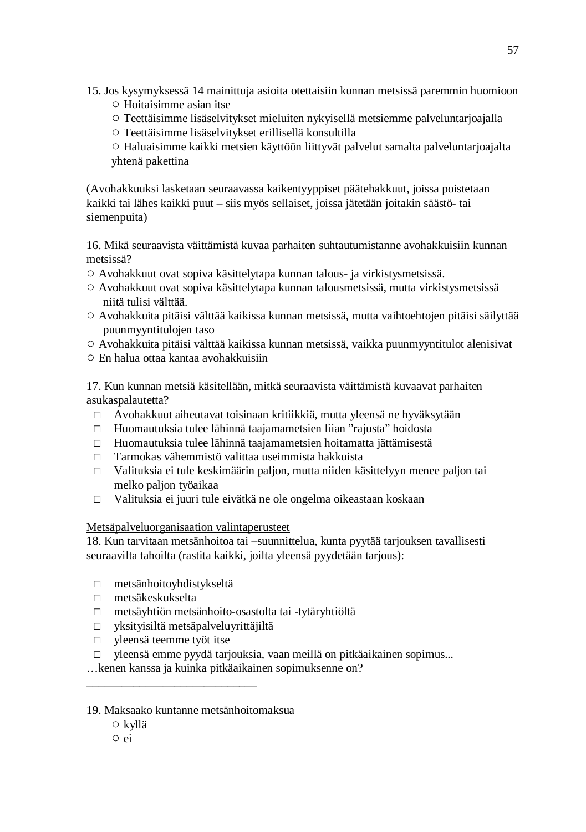- 15. Jos kysymyksessä 14 mainittuja asioita otettaisiin kunnan metsissä paremmin huomioon
	- Hoitaisimme asian itse
	- Teettäisimme lisäselvitykset mieluiten nykyisellä metsiemme palveluntarjoajalla
	- Teettäisimme lisäselvitykset erillisellä konsultilla

○ Haluaisimme kaikki metsien käyttöön liittyvät palvelut samalta palveluntarjoajalta yhtenä pakettina

(Avohakkuuksi lasketaan seuraavassa kaikentyyppiset päätehakkuut, joissa poistetaan kaikki tai lähes kaikki puut – siis myös sellaiset, joissa jätetään joitakin säästö- tai siemenpuita)

16. Mikä seuraavista väittämistä kuvaa parhaiten suhtautumistanne avohakkuisiin kunnan metsissä?

- Avohakkuut ovat sopiva käsittelytapa kunnan talous- ja virkistysmetsissä.
- Avohakkuut ovat sopiva käsittelytapa kunnan talousmetsissä, mutta virkistysmetsissä niitä tulisi välttää.
- Avohakkuita pitäisi välttää kaikissa kunnan metsissä, mutta vaihtoehtojen pitäisi säilyttää puunmyyntitulojen taso
- Avohakkuita pitäisi välttää kaikissa kunnan metsissä, vaikka puunmyyntitulot alenisivat
- En halua ottaa kantaa avohakkuisiin

17. Kun kunnan metsiä käsitellään, mitkä seuraavista väittämistä kuvaavat parhaiten asukaspalautetta?

- □ Avohakkuut aiheutavat toisinaan kritiikkiä, mutta yleensä ne hyväksytään
- □ Huomautuksia tulee lähinnä taajamametsien liian "rajusta" hoidosta
- □ Huomautuksia tulee lähinnä taajamametsien hoitamatta jättämisestä
- □ Tarmokas vähemmistö valittaa useimmista hakkuista
- □ Valituksia ei tule keskimäärin paljon, mutta niiden käsittelyyn menee paljon tai melko paljon työaikaa
- □ Valituksia ei juuri tule eivätkä ne ole ongelma oikeastaan koskaan

Metsäpalveluorganisaation valintaperusteet

18. Kun tarvitaan metsänhoitoa tai –suunnittelua, kunta pyytää tarjouksen tavallisesti seuraavilta tahoilta (rastita kaikki, joilta yleensä pyydetään tarjous):

- □ metsänhoitoyhdistykseltä
- □ metsäkeskukselta
- □ metsäyhtiön metsänhoito-osastolta tai -tytäryhtiöltä
- □ yksityisiltä metsäpalveluyrittäjiltä
- □ yleensä teemme työt itse

\_\_\_\_\_\_\_\_\_\_\_\_\_\_\_\_\_\_\_\_\_\_\_\_\_\_\_\_\_

- □ yleensä emme pyydä tarjouksia, vaan meillä on pitkäaikainen sopimus...
- …kenen kanssa ja kuinka pitkäaikainen sopimuksenne on?

### 19. Maksaako kuntanne metsänhoitomaksua

○ kyllä

<sup>○</sup> ei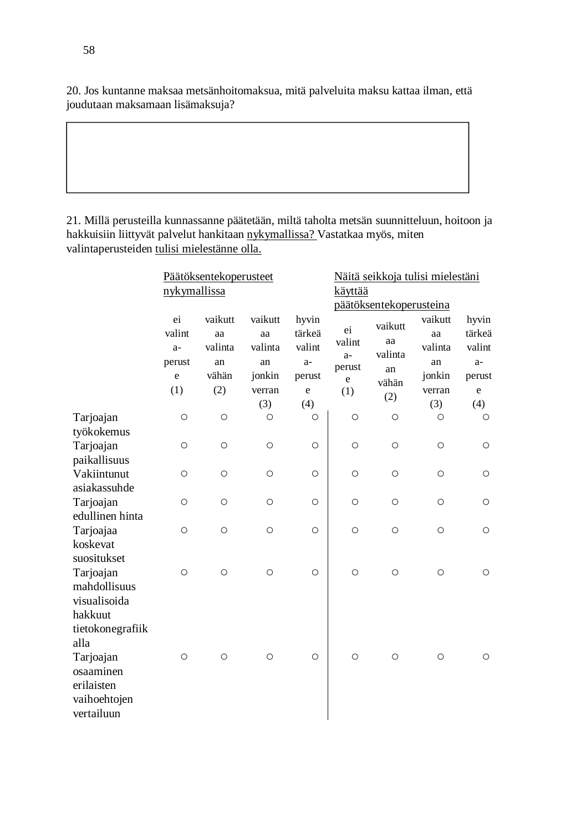20. Jos kuntanne maksaa metsänhoitomaksua, mitä palveluita maksu kattaa ilman, että joudutaan maksamaan lisämaksuja?

21. Millä perusteilla kunnassanne päätetään, miltä taholta metsän suunnitteluun, hoitoon ja hakkuisiin liittyvät palvelut hankitaan nykymallissa? Vastatkaa myös, miten valintaperusteiden tulisi mielestänne olla.

|                  | Päätöksentekoperusteet<br>nykymallissa |                                         |                                          |                                             | Näitä seikkoja tulisi mielestäni              |                                         |                                          |                                             |  |
|------------------|----------------------------------------|-----------------------------------------|------------------------------------------|---------------------------------------------|-----------------------------------------------|-----------------------------------------|------------------------------------------|---------------------------------------------|--|
|                  |                                        |                                         |                                          |                                             | käyttää                                       |                                         |                                          |                                             |  |
|                  |                                        |                                         |                                          |                                             | päätöksentekoperusteina                       |                                         |                                          |                                             |  |
|                  | ei<br>valint<br>$a-$<br>perust         | vaikutt<br>aa<br>valinta<br>an<br>vähän | vaikutt<br>aa<br>valinta<br>an<br>jonkin | hyvin<br>tärkeä<br>valint<br>$a-$<br>perust | ei<br>valint<br>$a-$<br>perust<br>$\mathbf e$ | vaikutt<br>aa<br>valinta<br>an<br>vähän | vaikutt<br>aa<br>valinta<br>an<br>jonkin | hyvin<br>tärkeä<br>valint<br>$a-$<br>perust |  |
|                  |                                        |                                         |                                          |                                             |                                               |                                         |                                          |                                             |  |
|                  | $\mathbf e$                            |                                         |                                          |                                             |                                               |                                         |                                          |                                             |  |
|                  | (1)                                    | (2)                                     | verran                                   | e                                           | (1)                                           | (2)                                     | verran                                   | e                                           |  |
|                  |                                        |                                         | (3)                                      | (4)                                         |                                               |                                         | (3)                                      | (4)                                         |  |
| Tarjoajan        | $\circ$                                | $\circ$                                 | $\circ$                                  | $\circ$                                     | $\circ$                                       | $\circ$                                 | $\circ$                                  | $\circ$                                     |  |
| työkokemus       |                                        |                                         |                                          |                                             |                                               |                                         |                                          |                                             |  |
| Tarjoajan        | Ο                                      | $\circ$                                 | $\circ$                                  | $\circ$                                     | $\circ$                                       | $\circ$                                 | $\circ$                                  | $\circ$                                     |  |
| paikallisuus     |                                        |                                         |                                          |                                             |                                               |                                         |                                          |                                             |  |
| Vakiintunut      | $\circ$                                | $\circ$                                 | $\circ$                                  | $\circ$                                     | $\circ$                                       | $\circ$                                 | $\circ$                                  | $\circ$                                     |  |
| asiakassuhde     |                                        |                                         |                                          |                                             |                                               |                                         |                                          |                                             |  |
| Tarjoajan        | $\circ$                                | $\circ$                                 | $\circ$                                  | $\circ$                                     | $\circ$                                       | $\circ$                                 | $\circ$                                  | $\circ$                                     |  |
| edullinen hinta  |                                        |                                         |                                          |                                             |                                               |                                         |                                          |                                             |  |
| Tarjoajaa        | $\circ$                                | $\circ$                                 | $\circ$                                  | $\circ$                                     | $\circ$                                       | $\circ$                                 | $\circ$                                  | $\circ$                                     |  |
| koskevat         |                                        |                                         |                                          |                                             |                                               |                                         |                                          |                                             |  |
| suositukset      |                                        |                                         |                                          |                                             |                                               |                                         |                                          |                                             |  |
| Tarjoajan        | $\circ$                                | $\circ$                                 | $\circ$                                  | $\circ$                                     | $\circ$                                       | $\circ$                                 | $\circ$                                  | $\circ$                                     |  |
| mahdollisuus     |                                        |                                         |                                          |                                             |                                               |                                         |                                          |                                             |  |
| visualisoida     |                                        |                                         |                                          |                                             |                                               |                                         |                                          |                                             |  |
| hakkuut          |                                        |                                         |                                          |                                             |                                               |                                         |                                          |                                             |  |
| tietokonegrafiik |                                        |                                         |                                          |                                             |                                               |                                         |                                          |                                             |  |
| alla             |                                        |                                         |                                          |                                             |                                               |                                         |                                          |                                             |  |
| Tarjoajan        | $\circ$                                | $\circ$                                 | $\circ$                                  | $\circ$                                     | $\circ$                                       | $\circ$                                 | $\circ$                                  | $\circ$                                     |  |
| osaaminen        |                                        |                                         |                                          |                                             |                                               |                                         |                                          |                                             |  |
| erilaisten       |                                        |                                         |                                          |                                             |                                               |                                         |                                          |                                             |  |
| vaihoehtojen     |                                        |                                         |                                          |                                             |                                               |                                         |                                          |                                             |  |
| vertailuun       |                                        |                                         |                                          |                                             |                                               |                                         |                                          |                                             |  |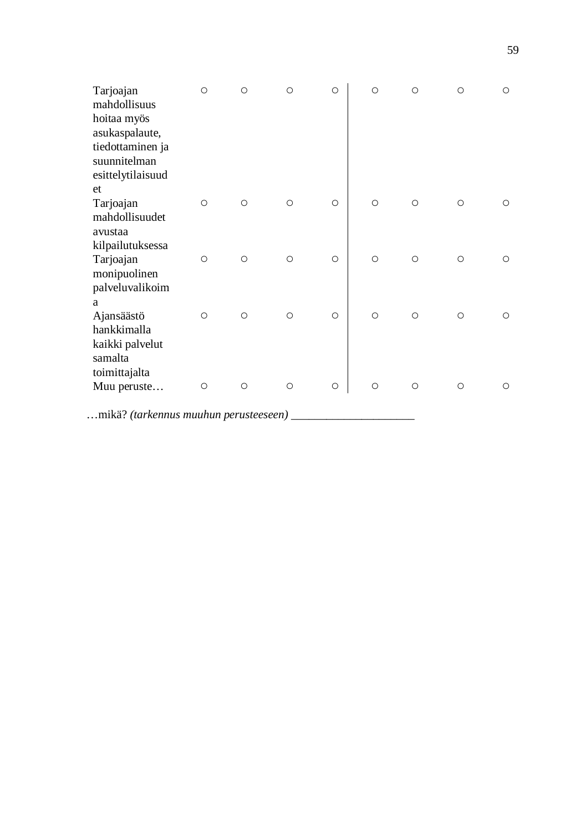| Tarjoajan<br>mahdollisuus                     | $\circ$      | O       | $\circ$ | $\circ$ | $\circ$ | $\circ$ | $\circ$ | $\circ$ |
|-----------------------------------------------|--------------|---------|---------|---------|---------|---------|---------|---------|
| hoitaa myös<br>asukaspalaute,                 |              |         |         |         |         |         |         |         |
| tiedottaminen ja                              |              |         |         |         |         |         |         |         |
| suunnitelman<br>esittelytilaisuud             |              |         |         |         |         |         |         |         |
| et<br>Tarjoajan                               | $\circ$      | $\circ$ | $\circ$ | $\circ$ | $\circ$ | $\circ$ | $\circ$ | O       |
| mahdollisuudet<br>avustaa                     |              |         |         |         |         |         |         |         |
| kilpailutuksessa<br>Tarjoajan<br>monipuolinen | $\circ$      | $\circ$ | $\circ$ | $\circ$ | $\circ$ | $\circ$ | $\circ$ | $\circ$ |
| palveluvalikoim<br>a                          |              |         |         |         |         |         |         |         |
| Ajansäästö<br>hankkimalla                     | $\circ$      | $\circ$ | $\circ$ | $\circ$ | $\circ$ | $\circ$ | $\circ$ | $\circ$ |
| kaikki palvelut<br>samalta<br>toimittajalta   |              |         |         |         |         |         |         |         |
| Muu peruste                                   | $\circ$      | $\circ$ | $\circ$ | $\circ$ | $\circ$ | $\circ$ | $\circ$ | $\circ$ |
| $21 - 90$ <i>(i)</i> $1$                      | $\mathbf{r}$ |         |         |         |         |         |         |         |

…mikä? *(tarkennus muuhun perusteeseen) \_\_\_\_\_\_\_\_\_\_\_\_\_\_\_\_\_\_\_\_\_*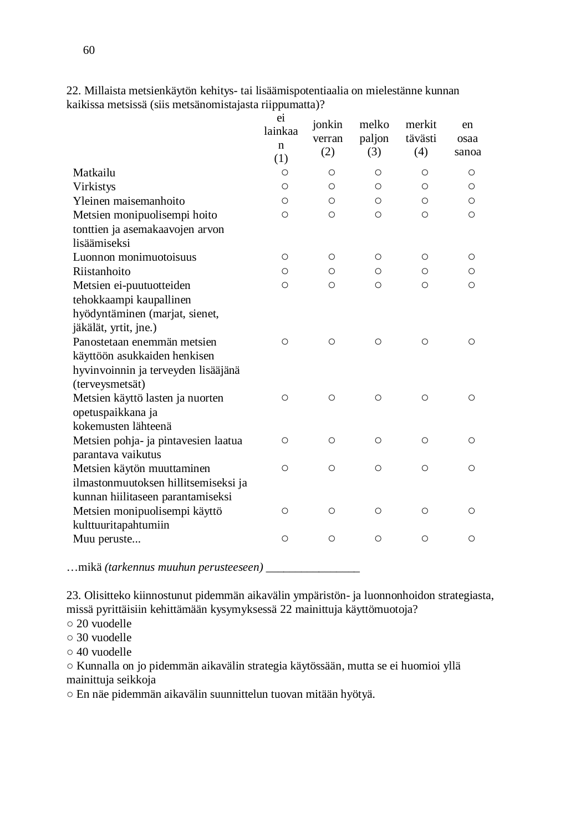|                                                        | ei<br>lainkaa<br>n<br>(1) | jonkin<br>verran<br>(2) | melko<br>paljon<br>(3) | merkit<br>tävästi<br>(4) | en<br>osaa<br>sanoa |
|--------------------------------------------------------|---------------------------|-------------------------|------------------------|--------------------------|---------------------|
| Matkailu                                               | O                         | $\circ$                 | Ο                      | Ο                        | O                   |
| Virkistys                                              | O                         | $\circ$                 | O                      | Ο                        | $\circ$             |
| Yleinen maisemanhoito                                  | O                         | $\circ$                 | $\circ$                | Ο                        | $\circ$             |
| Metsien monipuolisempi hoito                           | $\circ$                   | $\circ$                 | $\circ$                | $\circ$                  | $\circ$             |
| tonttien ja asemakaavojen arvon                        |                           |                         |                        |                          |                     |
| lisäämiseksi                                           |                           |                         |                        |                          |                     |
| Luonnon monimuotoisuus                                 | $\circ$                   | $\circ$                 | O                      | O                        | O                   |
| Riistanhoito                                           | O                         | O                       | O                      | Ω                        | Ο                   |
| Metsien ei-puutuotteiden                               | $\circ$                   | O                       | O                      | О                        | $\circ$             |
| tehokkaampi kaupallinen                                |                           |                         |                        |                          |                     |
| hyödyntäminen (marjat, sienet,                         |                           |                         |                        |                          |                     |
| jäkälät, yrtit, jne.)                                  |                           |                         |                        |                          |                     |
| Panostetaan enemmän metsien                            | O                         | $\circ$                 | $\circ$                | $\circ$                  | $\circ$             |
| käyttöön asukkaiden henkisen                           |                           |                         |                        |                          |                     |
| hyvinvoinnin ja terveyden lisääjänä<br>(terveysmetsät) |                           |                         |                        |                          |                     |
| Metsien käyttö lasten ja nuorten                       | $\circ$                   | $\circ$                 | O                      | $\circ$                  | O                   |
| opetuspaikkana ja                                      |                           |                         |                        |                          |                     |
| kokemusten lähteenä                                    |                           |                         |                        |                          |                     |
| Metsien pohja- ja pintavesien laatua                   | O                         | $\circ$                 | Ο                      | $\circ$                  | $\circ$             |
| parantava vaikutus                                     |                           |                         |                        |                          |                     |
| Metsien käytön muuttaminen                             | $\circ$                   | $\circ$                 | $\circ$                | $\circ$                  | $\circ$             |
| ilmastonmuutoksen hillitsemiseksi ja                   |                           |                         |                        |                          |                     |
| kunnan hiilitaseen parantamiseksi                      |                           |                         |                        |                          |                     |
| Metsien monipuolisempi käyttö                          | O                         | O                       | $\circ$                | $\circ$                  | $\circ$             |
| kulttuuritapahtumiin                                   |                           |                         |                        |                          |                     |
| Muu peruste                                            | $\circ$                   | O                       | O                      | O                        | O                   |
|                                                        |                           |                         |                        |                          |                     |

22. Millaista metsienkäytön kehitys- tai lisäämispotentiaalia on mielestänne kunnan kaikissa metsissä (siis metsänomistajasta riippumatta)?

…mikä *(tarkennus muuhun perusteeseen) \_\_\_\_\_\_\_\_\_\_\_\_\_\_\_\_*

23. Olisitteko kiinnostunut pidemmän aikavälin ympäristön- ja luonnonhoidon strategiasta, missä pyrittäisiin kehittämään kysymyksessä 22 mainittuja käyttömuotoja?

- 20 vuodelle
- 30 vuodelle
- 40 vuodelle

○ Kunnalla on jo pidemmän aikavälin strategia käytössään, mutta se ei huomioi yllä mainittuja seikkoja

○ En näe pidemmän aikavälin suunnittelun tuovan mitään hyötyä.